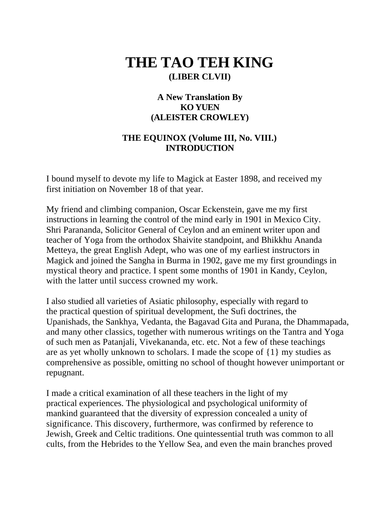# **THE TAO TEH KING (LIBER CLVII)**

#### **A New Translation By KO YUEN (ALEISTER CROWLEY)**

#### **THE EQUINOX (Volume III, No. VIII.) INTRODUCTION**

I bound myself to devote my life to Magick at Easter 1898, and received my first initiation on November 18 of that year.

My friend and climbing companion, Oscar Eckenstein, gave me my first instructions in learning the control of the mind early in 1901 in Mexico City. Shri Parananda, Solicitor General of Ceylon and an eminent writer upon and teacher of Yoga from the orthodox Shaivite standpoint, and Bhikkhu Ananda Metteya, the great English Adept, who was one of my earliest instructors in Magick and joined the Sangha in Burma in 1902, gave me my first groundings in mystical theory and practice. I spent some months of 1901 in Kandy, Ceylon, with the latter until success crowned my work.

I also studied all varieties of Asiatic philosophy, especially with regard to the practical question of spiritual development, the Sufi doctrines, the Upanishads, the Sankhya, Vedanta, the Bagavad Gita and Purana, the Dhammapada, and many other classics, together with numerous writings on the Tantra and Yoga of such men as Patanjali, Vivekananda, etc. etc. Not a few of these teachings are as yet wholly unknown to scholars. I made the scope of {1} my studies as comprehensive as possible, omitting no school of thought however unimportant or repugnant.

I made a critical examination of all these teachers in the light of my practical experiences. The physiological and psychological uniformity of mankind guaranteed that the diversity of expression concealed a unity of significance. This discovery, furthermore, was confirmed by reference to Jewish, Greek and Celtic traditions. One quintessential truth was common to all cults, from the Hebrides to the Yellow Sea, and even the main branches proved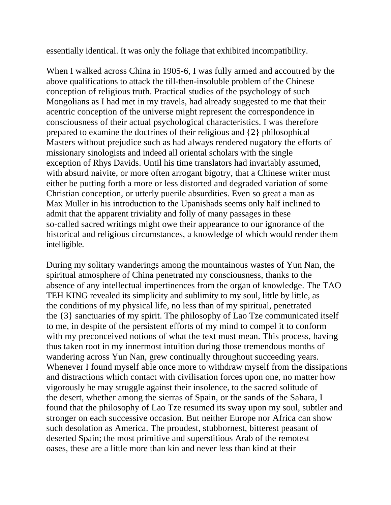essentially identical. It was only the foliage that exhibited incompatibility.

When I walked across China in 1905-6, I was fully armed and accoutred by the above qualifications to attack the till-then-insoluble problem of the Chinese conception of religious truth. Practical studies of the psychology of such Mongolians as I had met in my travels, had already suggested to me that their acentric conception of the universe might represent the correspondence in consciousness of their actual psychological characteristics. I was therefore prepared to examine the doctrines of their religious and {2} philosophical Masters without prejudice such as had always rendered nugatory the efforts of missionary sinologists and indeed all oriental scholars with the single exception of Rhys Davids. Until his time translators had invariably assumed, with absurd naivite, or more often arrogant bigotry, that a Chinese writer must either be putting forth a more or less distorted and degraded variation of some Christian conception, or utterly puerile absurdities. Even so great a man as Max Muller in his introduction to the Upanishads seems only half inclined to admit that the apparent triviality and folly of many passages in these so-called sacred writings might owe their appearance to our ignorance of the historical and religious circumstances, a knowledge of which would render them intelligible.

During my solitary wanderings among the mountainous wastes of Yun Nan, the spiritual atmosphere of China penetrated my consciousness, thanks to the absence of any intellectual impertinences from the organ of knowledge. The TAO TEH KING revealed its simplicity and sublimity to my soul, little by little, as the conditions of my physical life, no less than of my spiritual, penetrated the {3} sanctuaries of my spirit. The philosophy of Lao Tze communicated itself to me, in despite of the persistent efforts of my mind to compel it to conform with my preconceived notions of what the text must mean. This process, having thus taken root in my innermost intuition during those tremendous months of wandering across Yun Nan, grew continually throughout succeeding years. Whenever I found myself able once more to withdraw myself from the dissipations and distractions which contact with civilisation forces upon one, no matter how vigorously he may struggle against their insolence, to the sacred solitude of the desert, whether among the sierras of Spain, or the sands of the Sahara, I found that the philosophy of Lao Tze resumed its sway upon my soul, subtler and stronger on each successive occasion. But neither Europe nor Africa can show such desolation as America. The proudest, stubbornest, bitterest peasant of deserted Spain; the most primitive and superstitious Arab of the remotest oases, these are a little more than kin and never less than kind at their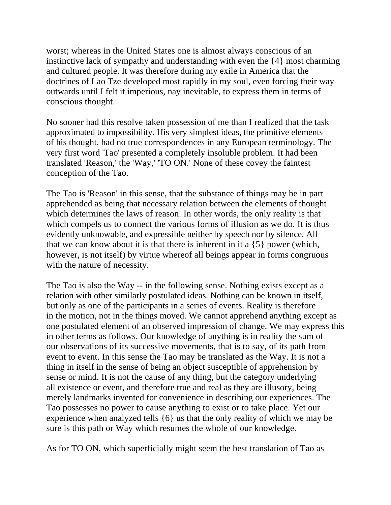worst; whereas in the United States one is almost always conscious of an instinctive lack of sympathy and understanding with even the {4} most charming and cultured people. It was therefore during my exile in America that the doctrines of Lao Tze developed most rapidly in my soul, even forcing their way outwards until I felt it imperious, nay inevitable, to express them in terms of conscious thought.

No sooner had this resolve taken possession of me than I realized that the task approximated to impossibility. His very simplest ideas, the primitive elements of his thought, had no true correspondences in any European terminology. The very first word 'Tao' presented a completely insoluble problem. It had been translated 'Reason,' the 'Way,' 'TO ON.' None of these covey the faintest conception of the Tao.

The Tao is 'Reason' in this sense, that the substance of things may be in part apprehended as being that necessary relation between the elements of thought which determines the laws of reason. In other words, the only reality is that which compels us to connect the various forms of illusion as we do. It is thus evidently unknowable, and expressible neither by speech nor by silence. All that we can know about it is that there is inherent in it a  $\{5\}$  power (which, however, is not itself) by virtue whereof all beings appear in forms congruous with the nature of necessity.

The Tao is also the Way -- in the following sense. Nothing exists except as a relation with other similarly postulated ideas. Nothing can be known in itself, but only as one of the participants in a series of events. Reality is therefore in the motion, not in the things moved. We cannot apprehend anything except as one postulated element of an observed impression of change. We may express this in other terms as follows. Our knowledge of anything is in reality the sum of our observations of its successive movements, that is to say, of its path from event to event. In this sense the Tao may be translated as the Way. It is not a thing in itself in the sense of being an object susceptible of apprehension by sense or mind. It is not the cause of any thing, but the category underlying all existence or event, and therefore true and real as they are illusory, being merely landmarks invented for convenience in describing our experiences. The Tao possesses no power to cause anything to exist or to take place. Yet our experience when analyzed tells {6} us that the only reality of which we may be sure is this path or Way which resumes the whole of our knowledge.

As for TO ON, which superficially might seem the best translation of Tao as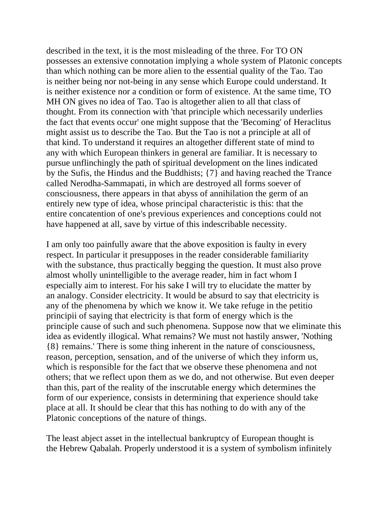described in the text, it is the most misleading of the three. For TO ON possesses an extensive connotation implying a whole system of Platonic concepts than which nothing can be more alien to the essential quality of the Tao. Tao is neither being nor not-being in any sense which Europe could understand. It is neither existence nor a condition or form of existence. At the same time, TO MH ON gives no idea of Tao. Tao is altogether alien to all that class of thought. From its connection with 'that principle which necessarily underlies the fact that events occur' one might suppose that the 'Becoming' of Heraclitus might assist us to describe the Tao. But the Tao is not a principle at all of that kind. To understand it requires an altogether different state of mind to any with which European thinkers in general are familiar. It is necessary to pursue unflinchingly the path of spiritual development on the lines indicated by the Sufis, the Hindus and the Buddhists; {7} and having reached the Trance called Nerodha-Sammapati, in which are destroyed all forms soever of consciousness, there appears in that abyss of annihilation the germ of an entirely new type of idea, whose principal characteristic is this: that the entire concatention of one's previous experiences and conceptions could not have happened at all, save by virtue of this indescribable necessity.

I am only too painfully aware that the above exposition is faulty in every respect. In particular it presupposes in the reader considerable familiarity with the substance, thus practically begging the question. It must also prove almost wholly unintelligible to the average reader, him in fact whom I especially aim to interest. For his sake I will try to elucidate the matter by an analogy. Consider electricity. It would be absurd to say that electricity is any of the phenomena by which we know it. We take refuge in the petitio principii of saying that electricity is that form of energy which is the principle cause of such and such phenomena. Suppose now that we eliminate this idea as evidently illogical. What remains? We must not hastily answer, 'Nothing {8} remains.' There is some thing inherent in the nature of consciousness, reason, perception, sensation, and of the universe of which they inform us, which is responsible for the fact that we observe these phenomena and not others; that we reflect upon them as we do, and not otherwise. But even deeper than this, part of the reality of the inscrutable energy which determines the form of our experience, consists in determining that experience should take place at all. It should be clear that this has nothing to do with any of the Platonic conceptions of the nature of things.

The least abject asset in the intellectual bankruptcy of European thought is the Hebrew Qabalah. Properly understood it is a system of symbolism infinitely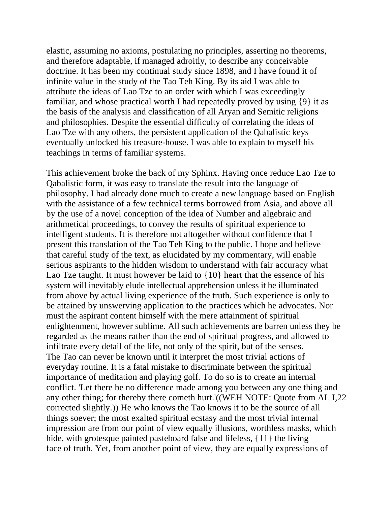elastic, assuming no axioms, postulating no principles, asserting no theorems, and therefore adaptable, if managed adroitly, to describe any conceivable doctrine. It has been my continual study since 1898, and I have found it of infinite value in the study of the Tao Teh King. By its aid I was able to attribute the ideas of Lao Tze to an order with which I was exceedingly familiar, and whose practical worth I had repeatedly proved by using {9} it as the basis of the analysis and classification of all Aryan and Semitic religions and philosophies. Despite the essential difficulty of correlating the ideas of Lao Tze with any others, the persistent application of the Qabalistic keys eventually unlocked his treasure-house. I was able to explain to myself his teachings in terms of familiar systems.

This achievement broke the back of my Sphinx. Having once reduce Lao Tze to Qabalistic form, it was easy to translate the result into the language of philosophy. I had already done much to create a new language based on English with the assistance of a few technical terms borrowed from Asia, and above all by the use of a novel conception of the idea of Number and algebraic and arithmetical proceedings, to convey the results of spiritual experience to intelligent students. It is therefore not altogether without confidence that I present this translation of the Tao Teh King to the public. I hope and believe that careful study of the text, as elucidated by my commentary, will enable serious aspirants to the hidden wisdom to understand with fair accuracy what Lao Tze taught. It must however be laid to {10} heart that the essence of his system will inevitably elude intellectual apprehension unless it be illuminated from above by actual living experience of the truth. Such experience is only to be attained by unswerving application to the practices which he advocates. Nor must the aspirant content himself with the mere attainment of spiritual enlightenment, however sublime. All such achievements are barren unless they be regarded as the means rather than the end of spiritual progress, and allowed to infiltrate every detail of the life, not only of the spirit, but of the senses. The Tao can never be known until it interpret the most trivial actions of everyday routine. It is a fatal mistake to discriminate between the spiritual importance of meditation and playing golf. To do so is to create an internal conflict. 'Let there be no difference made among you between any one thing and any other thing; for thereby there cometh hurt.'((WEH NOTE: Quote from AL I,22 corrected slightly.)) He who knows the Tao knows it to be the source of all things soever; the most exalted spiritual ecstasy and the most trivial internal impression are from our point of view equally illusions, worthless masks, which hide, with grotesque painted pasteboard false and lifeless, {11} the living face of truth. Yet, from another point of view, they are equally expressions of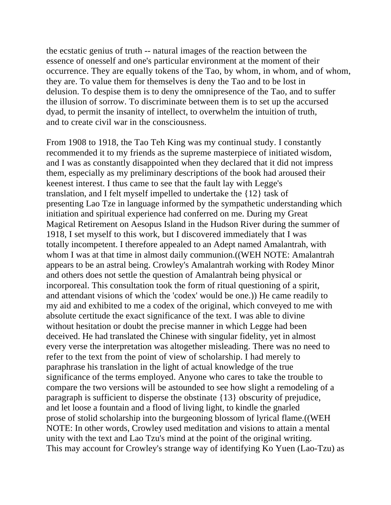the ecstatic genius of truth -- natural images of the reaction between the essence of onesself and one's particular environment at the moment of their occurrence. They are equally tokens of the Tao, by whom, in whom, and of whom, they are. To value them for themselves is deny the Tao and to be lost in delusion. To despise them is to deny the omnipresence of the Tao, and to suffer the illusion of sorrow. To discriminate between them is to set up the accursed dyad, to permit the insanity of intellect, to overwhelm the intuition of truth, and to create civil war in the consciousness.

From 1908 to 1918, the Tao Teh King was my continual study. I constantly recommended it to my friends as the supreme masterpiece of initiated wisdom, and I was as constantly disappointed when they declared that it did not impress them, especially as my preliminary descriptions of the book had aroused their keenest interest. I thus came to see that the fault lay with Legge's translation, and I felt myself impelled to undertake the {12} task of presenting Lao Tze in language informed by the sympathetic understanding which initiation and spiritual experience had conferred on me. During my Great Magical Retirement on Aesopus Island in the Hudson River during the summer of 1918, I set myself to this work, but I discovered immediately that I was totally incompetent. I therefore appealed to an Adept named Amalantrah, with whom I was at that time in almost daily communion.((WEH NOTE: Amalantrah appears to be an astral being. Crowley's Amalantrah working with Rodey Minor and others does not settle the question of Amalantrah being physical or incorporeal. This consultation took the form of ritual questioning of a spirit, and attendant visions of which the 'codex' would be one.)) He came readily to my aid and exhibited to me a codex of the original, which conveyed to me with absolute certitude the exact significance of the text. I was able to divine without hesitation or doubt the precise manner in which Legge had been deceived. He had translated the Chinese with singular fidelity, yet in almost every verse the interpretation was altogether misleading. There was no need to refer to the text from the point of view of scholarship. I had merely to paraphrase his translation in the light of actual knowledge of the true significance of the terms employed. Anyone who cares to take the trouble to compare the two versions will be astounded to see how slight a remodeling of a paragraph is sufficient to disperse the obstinate {13} obscurity of prejudice, and let loose a fountain and a flood of living light, to kindle the gnarled prose of stolid scholarship into the burgeoning blossom of lyrical flame.((WEH NOTE: In other words, Crowley used meditation and visions to attain a mental unity with the text and Lao Tzu's mind at the point of the original writing. This may account for Crowley's strange way of identifying Ko Yuen (Lao-Tzu) as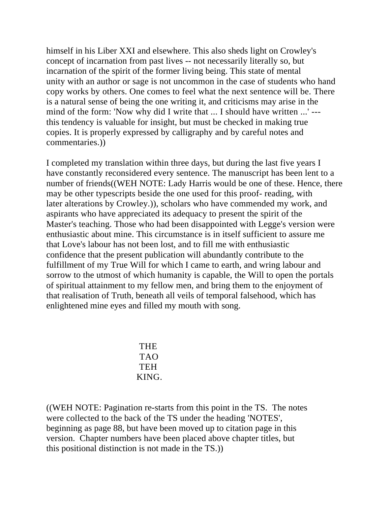himself in his Liber XXI and elsewhere. This also sheds light on Crowley's concept of incarnation from past lives -- not necessarily literally so, but incarnation of the spirit of the former living being. This state of mental unity with an author or sage is not uncommon in the case of students who hand copy works by others. One comes to feel what the next sentence will be. There is a natural sense of being the one writing it, and criticisms may arise in the mind of the form: 'Now why did I write that ... I should have written ...' -- this tendency is valuable for insight, but must be checked in making true copies. It is properly expressed by calligraphy and by careful notes and commentaries.))

I completed my translation within three days, but during the last five years I have constantly reconsidered every sentence. The manuscript has been lent to a number of friends((WEH NOTE: Lady Harris would be one of these. Hence, there may be other typescripts beside the one used for this proof- reading, with later alterations by Crowley.)), scholars who have commended my work, and aspirants who have appreciated its adequacy to present the spirit of the Master's teaching. Those who had been disappointed with Legge's version were enthusiastic about mine. This circumstance is in itself sufficient to assure me that Love's labour has not been lost, and to fill me with enthusiastic confidence that the present publication will abundantly contribute to the fulfillment of my True Will for which I came to earth, and wring labour and sorrow to the utmost of which humanity is capable, the Will to open the portals of spiritual attainment to my fellow men, and bring them to the enjoyment of that realisation of Truth, beneath all veils of temporal falsehood, which has enlightened mine eyes and filled my mouth with song.

> THE TAO **TEH** KING.

((WEH NOTE: Pagination re-starts from this point in the TS. The notes were collected to the back of the TS under the heading 'NOTES', beginning as page 88, but have been moved up to citation page in this version. Chapter numbers have been placed above chapter titles, but this positional distinction is not made in the TS.))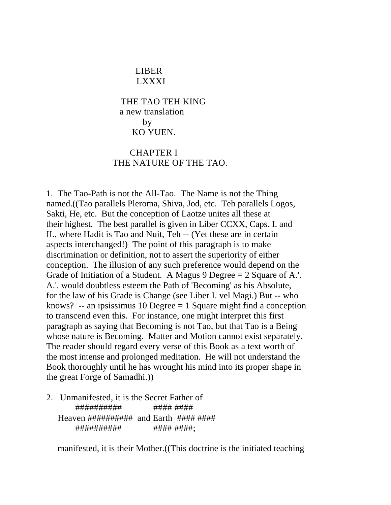#### LIBER LXXXI

#### THE TAO TEH KING a new translation by KO YUEN.

#### CHAPTER I THE NATURE OF THE TAO.

1. The Tao-Path is not the All-Tao. The Name is not the Thing named.((Tao parallels Pleroma, Shiva, Jod, etc. Teh parallels Logos, Sakti, He, etc. But the conception of Laotze unites all these at their highest. The best parallel is given in Liber CCXX, Caps. I. and II., where Hadit is Tao and Nuit, Teh -- (Yet these are in certain aspects interchanged!) The point of this paragraph is to make discrimination or definition, not to assert the superiority of either conception. The illusion of any such preference would depend on the Grade of Initiation of a Student. A Magus 9 Degree = 2 Square of A.'. A.'. would doubtless esteem the Path of 'Becoming' as his Absolute, for the law of his Grade is Change (see Liber I. vel Magi.) But -- who knows? -- an ipsissimus 10 Degree  $= 1$  Square might find a conception to transcend even this. For instance, one might interpret this first paragraph as saying that Becoming is not Tao, but that Tao is a Being whose nature is Becoming. Matter and Motion cannot exist separately. The reader should regard every verse of this Book as a text worth of the most intense and prolonged meditation. He will not understand the Book thoroughly until he has wrought his mind into its proper shape in the great Forge of Samadhi.))

2. Unmanifested, it is the Secret Father of ########## #### #### Heaven ########### and Earth #### ##### ########## #### ####;

manifested, it is their Mother.((This doctrine is the initiated teaching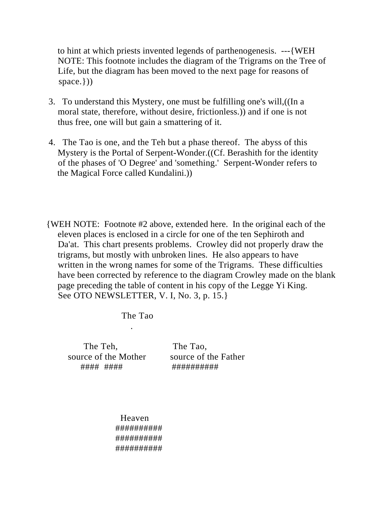to hint at which priests invented legends of parthenogenesis. ---{WEH NOTE: This footnote includes the diagram of the Trigrams on the Tree of Life, but the diagram has been moved to the next page for reasons of space.}))

- 3. To understand this Mystery, one must be fulfilling one's will,((In a moral state, therefore, without desire, frictionless.)) and if one is not thus free, one will but gain a smattering of it.
- 4. The Tao is one, and the Teh but a phase thereof. The abyss of this Mystery is the Portal of Serpent-Wonder.((Cf. Berashith for the identity of the phases of 'O Degree' and 'something.' Serpent-Wonder refers to the Magical Force called Kundalini.))

{WEH NOTE: Footnote #2 above, extended here. In the original each of the eleven places is enclosed in a circle for one of the ten Sephiroth and Da'at. This chart presents problems. Crowley did not properly draw the trigrams, but mostly with unbroken lines. He also appears to have written in the wrong names for some of the Trigrams. These difficulties have been corrected by reference to the diagram Crowley made on the blank page preceding the table of content in his copy of the Legge Yi King. See OTO NEWSLETTER, V. I, No. 3, p. 15.}

The Tao

The Teh, The Tao, source of the Mother source of the Father #### #### ##########

.

 Heaven ########## ########## ##########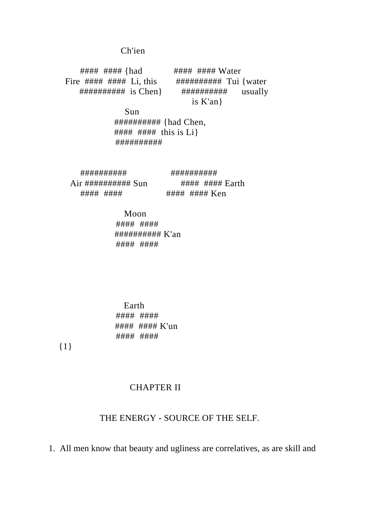#### Ch'ien

 #### #### {had #### #### Water Fire #### #### Li, this ########## Tui {water ########## is Chen} ########## usually is K'an}

Sun

 ########## {had Chen, #### #### this is Li} ##########

 ########## ########## Air ########## Sun #### #### Earth #### #### #### #### Ken

> Moon #### #### ########## K'an #### ####

 Earth #### #### #### #### K'un #### ####

{1}

#### CHAPTER II

#### THE ENERGY - SOURCE OF THE SELF.

1. All men know that beauty and ugliness are correlatives, as are skill and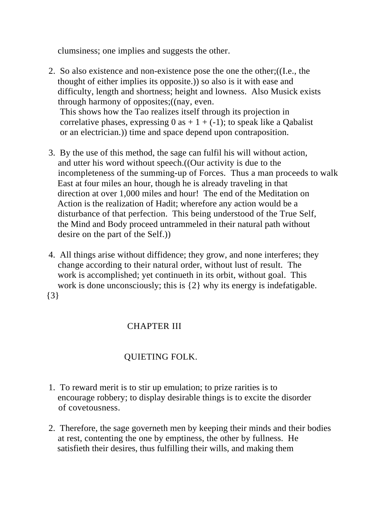clumsiness; one implies and suggests the other.

- 2. So also existence and non-existence pose the one the other;((I.e., the thought of either implies its opposite.)) so also is it with ease and difficulty, length and shortness; height and lowness. Also Musick exists through harmony of opposites;((nay, even. This shows how the Tao realizes itself through its projection in correlative phases, expressing  $0$  as  $+1+(-1)$ ; to speak like a Qabalist or an electrician.)) time and space depend upon contraposition.
- 3. By the use of this method, the sage can fulfil his will without action, and utter his word without speech.((Our activity is due to the incompleteness of the summing-up of Forces. Thus a man proceeds to walk East at four miles an hour, though he is already traveling in that direction at over 1,000 miles and hour! The end of the Meditation on Action is the realization of Hadit; wherefore any action would be a disturbance of that perfection. This being understood of the True Self, the Mind and Body proceed untrammeled in their natural path without desire on the part of the Self.))
- 4. All things arise without diffidence; they grow, and none interferes; they change according to their natural order, without lust of result. The work is accomplished; yet continueth in its orbit, without goal. This work is done unconsciously; this is {2} why its energy is indefatigable. {3}

## CHAPTER III

## QUIETING FOLK.

- 1. To reward merit is to stir up emulation; to prize rarities is to encourage robbery; to display desirable things is to excite the disorder of covetousness.
- 2. Therefore, the sage governeth men by keeping their minds and their bodies at rest, contenting the one by emptiness, the other by fullness. He satisfieth their desires, thus fulfilling their wills, and making them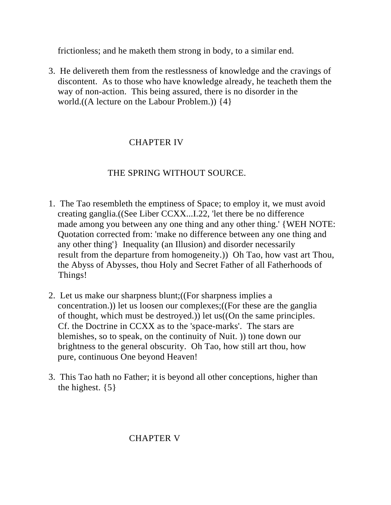frictionless; and he maketh them strong in body, to a similar end.

 3. He delivereth them from the restlessness of knowledge and the cravings of discontent. As to those who have knowledge already, he teacheth them the way of non-action. This being assured, there is no disorder in the world.((A lecture on the Labour Problem.)) {4}

## CHAPTER IV

## THE SPRING WITHOUT SOURCE.

- 1. The Tao resembleth the emptiness of Space; to employ it, we must avoid creating ganglia.((See Liber CCXX...I.22, 'let there be no difference made among you between any one thing and any other thing.' {WEH NOTE: Quotation corrected from: 'make no difference between any one thing and any other thing'} Inequality (an Illusion) and disorder necessarily result from the departure from homogeneity.)) Oh Tao, how vast art Thou, the Abyss of Abysses, thou Holy and Secret Father of all Fatherhoods of Things!
- 2. Let us make our sharpness blunt;((For sharpness implies a concentration.)) let us loosen our complexes;((For these are the ganglia of thought, which must be destroyed.)) let us((On the same principles. Cf. the Doctrine in CCXX as to the 'space-marks'. The stars are blemishes, so to speak, on the continuity of Nuit. )) tone down our brightness to the general obscurity. Oh Tao, how still art thou, how pure, continuous One beyond Heaven!
- 3. This Tao hath no Father; it is beyond all other conceptions, higher than the highest.  $\{5\}$

### CHAPTER V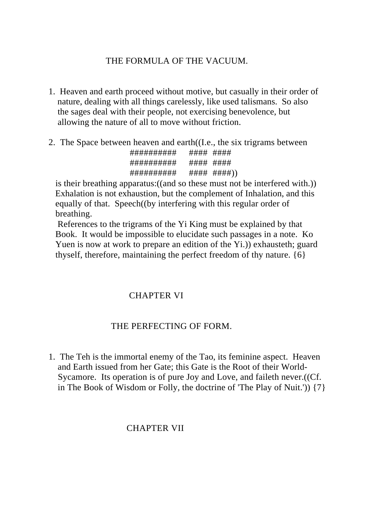## THE FORMULA OF THE VACUUM.

- 1. Heaven and earth proceed without motive, but casually in their order of nature, dealing with all things carelessly, like used talismans. So also the sages deal with their people, not exercising benevolence, but allowing the nature of all to move without friction.
- 2. The Space between heaven and earth((I.e., the six trigrams between ########## #### ####

| <del>##########</del> |           |             |
|-----------------------|-----------|-------------|
| ##########            | #### #### |             |
| ##########            |           | #### ####)) |

 is their breathing apparatus:((and so these must not be interfered with.)) Exhalation is not exhaustion, but the complement of Inhalation, and this equally of that. Speech((by interfering with this regular order of breathing.

 References to the trigrams of the Yi King must be explained by that Book. It would be impossible to elucidate such passages in a note. Ko Yuen is now at work to prepare an edition of the Yi.)) exhausteth; guard thyself, therefore, maintaining the perfect freedom of thy nature. {6}

### CHAPTER VI

#### THE PERFECTING OF FORM.

 1. The Teh is the immortal enemy of the Tao, its feminine aspect. Heaven and Earth issued from her Gate; this Gate is the Root of their World- Sycamore. Its operation is of pure Joy and Love, and faileth never.((Cf. in The Book of Wisdom or Folly, the doctrine of 'The Play of Nuit.')) {7}

#### CHAPTER VII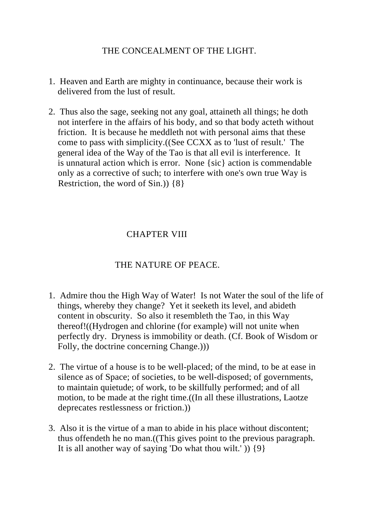#### THE CONCEALMENT OF THE LIGHT.

- 1. Heaven and Earth are mighty in continuance, because their work is delivered from the lust of result.
- 2. Thus also the sage, seeking not any goal, attaineth all things; he doth not interfere in the affairs of his body, and so that body acteth without friction. It is because he meddleth not with personal aims that these come to pass with simplicity.((See CCXX as to 'lust of result.' The general idea of the Way of the Tao is that all evil is interference. It is unnatural action which is error. None {sic} action is commendable only as a corrective of such; to interfere with one's own true Way is Restriction, the word of Sin.)) {8}

## CHAPTER VIII

### THE NATURE OF PEACE.

- 1. Admire thou the High Way of Water! Is not Water the soul of the life of things, whereby they change? Yet it seeketh its level, and abideth content in obscurity. So also it resembleth the Tao, in this Way thereof!((Hydrogen and chlorine (for example) will not unite when perfectly dry. Dryness is immobility or death. (Cf. Book of Wisdom or Folly, the doctrine concerning Change.)))
- 2. The virtue of a house is to be well-placed; of the mind, to be at ease in silence as of Space; of societies, to be well-disposed; of governments, to maintain quietude; of work, to be skillfully performed; and of all motion, to be made at the right time.((In all these illustrations, Laotze deprecates restlessness or friction.))
- 3. Also it is the virtue of a man to abide in his place without discontent; thus offendeth he no man.((This gives point to the previous paragraph. It is all another way of saying 'Do what thou wilt.' )) {9}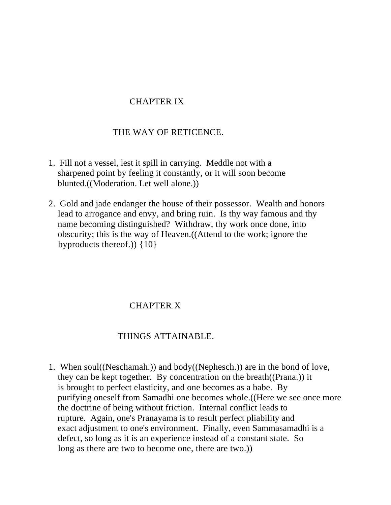#### CHAPTER IX

#### THE WAY OF RETICENCE.

- 1. Fill not a vessel, lest it spill in carrying. Meddle not with a sharpened point by feeling it constantly, or it will soon become blunted.((Moderation. Let well alone.))
- 2. Gold and jade endanger the house of their possessor. Wealth and honors lead to arrogance and envy, and bring ruin. Is thy way famous and thy name becoming distinguished? Withdraw, thy work once done, into obscurity; this is the way of Heaven.((Attend to the work; ignore the byproducts thereof.)  $\{10\}$

### CHAPTER X

#### THINGS ATTAINABLE.

 1. When soul((Neschamah.)) and body((Nephesch.)) are in the bond of love, they can be kept together. By concentration on the breath((Prana.)) it is brought to perfect elasticity, and one becomes as a babe. By purifying oneself from Samadhi one becomes whole.((Here we see once more the doctrine of being without friction. Internal conflict leads to rupture. Again, one's Pranayama is to result perfect pliability and exact adjustment to one's environment. Finally, even Sammasamadhi is a defect, so long as it is an experience instead of a constant state. So long as there are two to become one, there are two.))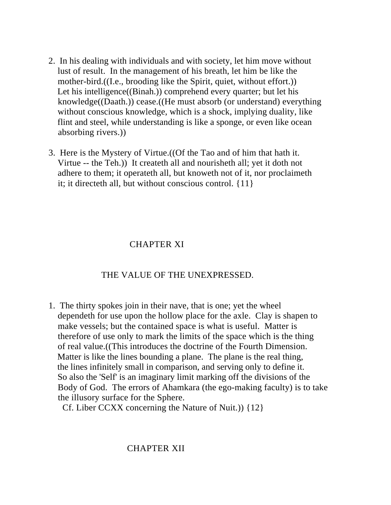- 2. In his dealing with individuals and with society, let him move without lust of result. In the management of his breath, let him be like the mother-bird.((I.e., brooding like the Spirit, quiet, without effort.)) Let his intelligence((Binah.)) comprehend every quarter; but let his knowledge((Daath.)) cease.((He must absorb (or understand) everything without conscious knowledge, which is a shock, implying duality, like flint and steel, while understanding is like a sponge, or even like ocean absorbing rivers.))
- 3. Here is the Mystery of Virtue.((Of the Tao and of him that hath it. Virtue -- the Teh.)) It createth all and nourisheth all; yet it doth not adhere to them; it operateth all, but knoweth not of it, nor proclaimeth it; it directeth all, but without conscious control. {11}

## CHAPTER XI

### THE VALUE OF THE UNEXPRESSED.

 1. The thirty spokes join in their nave, that is one; yet the wheel dependeth for use upon the hollow place for the axle. Clay is shapen to make vessels; but the contained space is what is useful. Matter is therefore of use only to mark the limits of the space which is the thing of real value.((This introduces the doctrine of the Fourth Dimension. Matter is like the lines bounding a plane. The plane is the real thing, the lines infinitely small in comparison, and serving only to define it. So also the 'Self' is an imaginary limit marking off the divisions of the Body of God. The errors of Ahamkara (the ego-making faculty) is to take the illusory surface for the Sphere.

Cf. Liber CCXX concerning the Nature of Nuit.)) {12}

CHAPTER XII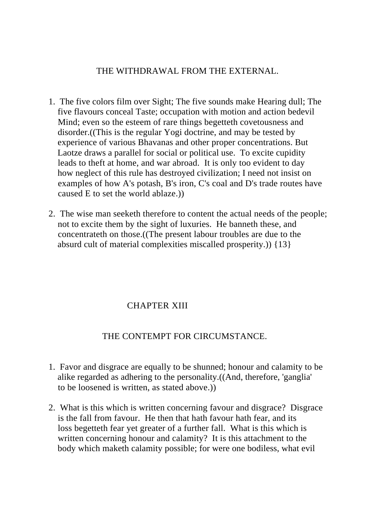#### THE WITHDRAWAL FROM THE EXTERNAL.

- 1. The five colors film over Sight; The five sounds make Hearing dull; The five flavours conceal Taste; occupation with motion and action bedevil Mind; even so the esteem of rare things begetteth covetousness and disorder.((This is the regular Yogi doctrine, and may be tested by experience of various Bhavanas and other proper concentrations. But Laotze draws a parallel for social or political use. To excite cupidity leads to theft at home, and war abroad. It is only too evident to day how neglect of this rule has destroyed civilization; I need not insist on examples of how A's potash, B's iron, C's coal and D's trade routes have caused E to set the world ablaze.))
- 2. The wise man seeketh therefore to content the actual needs of the people; not to excite them by the sight of luxuries. He banneth these, and concentrateth on those.((The present labour troubles are due to the absurd cult of material complexities miscalled prosperity.)) {13}

## CHAPTER XIII

## THE CONTEMPT FOR CIRCUMSTANCE.

- 1. Favor and disgrace are equally to be shunned; honour and calamity to be alike regarded as adhering to the personality.((And, therefore, 'ganglia' to be loosened is written, as stated above.))
- 2. What is this which is written concerning favour and disgrace? Disgrace is the fall from favour. He then that hath favour hath fear, and its loss begetteth fear yet greater of a further fall. What is this which is written concerning honour and calamity? It is this attachment to the body which maketh calamity possible; for were one bodiless, what evil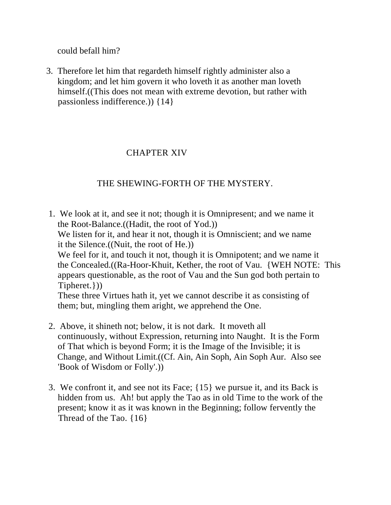could befall him?

3. Therefore let him that regardeth himself rightly administer also a kingdom; and let him govern it who loveth it as another man loveth himself.((This does not mean with extreme devotion, but rather with passionless indifference.)) {14}

## CHAPTER XIV

## THE SHEWING-FORTH OF THE MYSTERY.

- 1. We look at it, and see it not; though it is Omnipresent; and we name it the Root-Balance.((Hadit, the root of Yod.)) We listen for it, and hear it not, though it is Omniscient; and we name it the Silence.((Nuit, the root of He.)) We feel for it, and touch it not, though it is Omnipotent; and we name it the Concealed.((Ra-Hoor-Khuit, Kether, the root of Vau. {WEH NOTE: This appears questionable, as the root of Vau and the Sun god both pertain to Tipheret.})) These three Virtues hath it, yet we cannot describe it as consisting of
- them; but, mingling them aright, we apprehend the One. 2. Above, it shineth not; below, it is not dark. It moveth all continuously, without Expression, returning into Naught. It is the Form
- of That which is beyond Form; it is the Image of the Invisible; it is Change, and Without Limit.((Cf. Ain, Ain Soph, Ain Soph Aur. Also see 'Book of Wisdom or Folly'.))
- 3. We confront it, and see not its Face; {15} we pursue it, and its Back is hidden from us. Ah! but apply the Tao as in old Time to the work of the present; know it as it was known in the Beginning; follow fervently the Thread of the Tao. {16}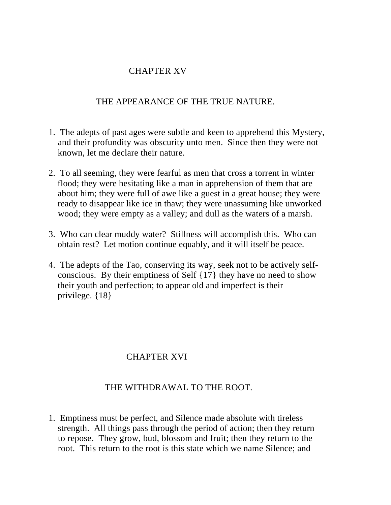#### CHAPTER XV

#### THE APPEARANCE OF THE TRUE NATURE.

- 1. The adepts of past ages were subtle and keen to apprehend this Mystery, and their profundity was obscurity unto men. Since then they were not known, let me declare their nature.
- 2. To all seeming, they were fearful as men that cross a torrent in winter flood; they were hesitating like a man in apprehension of them that are about him; they were full of awe like a guest in a great house; they were ready to disappear like ice in thaw; they were unassuming like unworked wood; they were empty as a valley; and dull as the waters of a marsh.
- 3. Who can clear muddy water? Stillness will accomplish this. Who can obtain rest? Let motion continue equably, and it will itself be peace.
- 4. The adepts of the Tao, conserving its way, seek not to be actively self conscious. By their emptiness of Self {17} they have no need to show their youth and perfection; to appear old and imperfect is their privilege. {18}

### CHAPTER XVI

#### THE WITHDRAWAL TO THE ROOT.

 1. Emptiness must be perfect, and Silence made absolute with tireless strength. All things pass through the period of action; then they return to repose. They grow, bud, blossom and fruit; then they return to the root. This return to the root is this state which we name Silence; and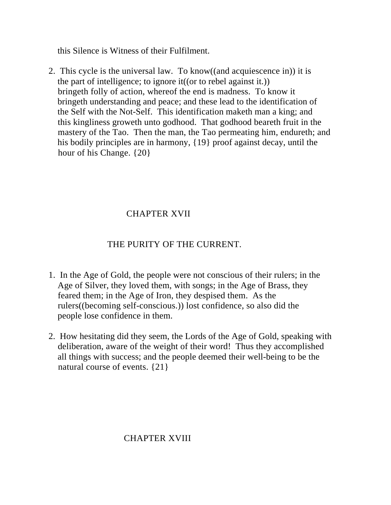this Silence is Witness of their Fulfilment.

 2. This cycle is the universal law. To know((and acquiescence in)) it is the part of intelligence; to ignore it((or to rebel against it.)) bringeth folly of action, whereof the end is madness. To know it bringeth understanding and peace; and these lead to the identification of the Self with the Not-Self. This identification maketh man a king; and this kingliness groweth unto godhood. That godhood beareth fruit in the mastery of the Tao. Then the man, the Tao permeating him, endureth; and his bodily principles are in harmony, {19} proof against decay, until the hour of his Change. {20}

## CHAPTER XVII

## THE PURITY OF THE CURRENT.

- 1. In the Age of Gold, the people were not conscious of their rulers; in the Age of Silver, they loved them, with songs; in the Age of Brass, they feared them; in the Age of Iron, they despised them. As the rulers((becoming self-conscious.)) lost confidence, so also did the people lose confidence in them.
- 2. How hesitating did they seem, the Lords of the Age of Gold, speaking with deliberation, aware of the weight of their word! Thus they accomplished all things with success; and the people deemed their well-being to be the natural course of events. {21}

## CHAPTER XVIII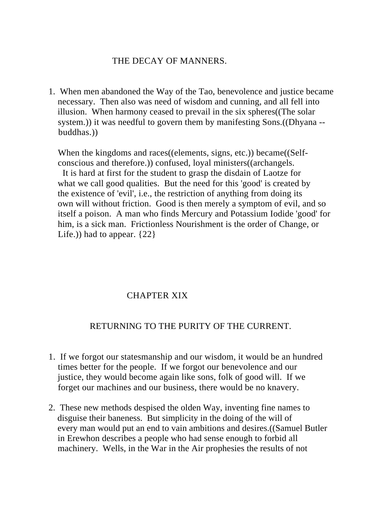#### THE DECAY OF MANNERS.

 1. When men abandoned the Way of the Tao, benevolence and justice became necessary. Then also was need of wisdom and cunning, and all fell into illusion. When harmony ceased to prevail in the six spheres((The solar system.)) it was needful to govern them by manifesting Sons.((Dhyana - buddhas.))

 When the kingdoms and races((elements, signs, etc.)) became((Self conscious and therefore.)) confused, loyal ministers((archangels.

 It is hard at first for the student to grasp the disdain of Laotze for what we call good qualities. But the need for this 'good' is created by the existence of 'evil', i.e., the restriction of anything from doing its own will without friction. Good is then merely a symptom of evil, and so itself a poison. A man who finds Mercury and Potassium Iodide 'good' for him, is a sick man. Frictionless Nourishment is the order of Change, or Life.)) had to appear.  $\{22\}$ 

### CHAPTER XIX

#### RETURNING TO THE PURITY OF THE CURRENT.

- 1. If we forgot our statesmanship and our wisdom, it would be an hundred times better for the people. If we forgot our benevolence and our justice, they would become again like sons, folk of good will. If we forget our machines and our business, there would be no knavery.
- 2. These new methods despised the olden Way, inventing fine names to disguise their baneness. But simplicity in the doing of the will of every man would put an end to vain ambitions and desires.((Samuel Butler in Erewhon describes a people who had sense enough to forbid all machinery. Wells, in the War in the Air prophesies the results of not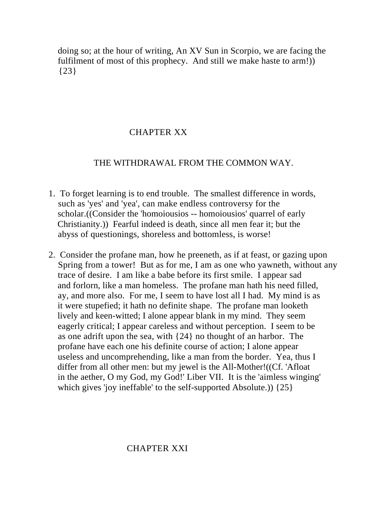doing so; at the hour of writing, An XV Sun in Scorpio, we are facing the fulfilment of most of this prophecy. And still we make haste to arm!)) {23}

## CHAPTER XX

### THE WITHDRAWAL FROM THE COMMON WAY.

- 1. To forget learning is to end trouble. The smallest difference in words, such as 'yes' and 'yea', can make endless controversy for the scholar.((Consider the 'homoiousios -- homoiousios' quarrel of early Christianity.)) Fearful indeed is death, since all men fear it; but the abyss of questionings, shoreless and bottomless, is worse!
- 2. Consider the profane man, how he preeneth, as if at feast, or gazing upon Spring from a tower! But as for me, I am as one who yawneth, without any trace of desire. I am like a babe before its first smile. I appear sad and forlorn, like a man homeless. The profane man hath his need filled, ay, and more also. For me, I seem to have lost all I had. My mind is as it were stupefied; it hath no definite shape. The profane man looketh lively and keen-witted; I alone appear blank in my mind. They seem eagerly critical; I appear careless and without perception. I seem to be as one adrift upon the sea, with {24} no thought of an harbor. The profane have each one his definite course of action; I alone appear useless and uncomprehending, like a man from the border. Yea, thus I differ from all other men: but my jewel is the All-Mother!((Cf. 'Afloat in the aether, O my God, my God!' Liber VII. It is the 'aimless winging' which gives 'joy ineffable' to the self-supported Absolute.)) {25}

### CHAPTER XXI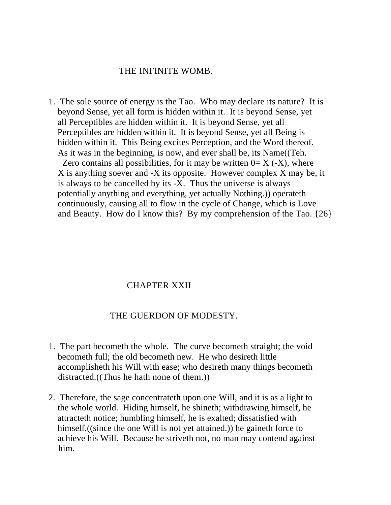#### THE INFINITE WOMB.

 1. The sole source of energy is the Tao. Who may declare its nature? It is beyond Sense, yet all form is hidden within it. It is beyond Sense, yet all Perceptibles are hidden within it. It is beyond Sense, yet all Perceptibles are hidden within it. It is beyond Sense, yet all Being is hidden within it. This Being excites Perception, and the Word thereof. As it was in the beginning, is now, and ever shall be, its Name((Teh. Zero contains all possibilities, for it may be written  $0= X(-X)$ , where X is anything soever and -X its opposite. However complex X may be, it is always to be cancelled by its -X. Thus the universe is always potentially anything and everything, yet actually Nothing.)) operateth continuously, causing all to flow in the cycle of Change, which is Love and Beauty. How do I know this? By my comprehension of the Tao. {26}

#### CHAPTER XXII

#### THE GUERDON OF MODESTY.

- 1. The part becometh the whole. The curve becometh straight; the void becometh full; the old becometh new. He who desireth little accomplisheth his Will with ease; who desireth many things becometh distracted.((Thus he hath none of them.))
- 2. Therefore, the sage concentrateth upon one Will, and it is as a light to the whole world. Hiding himself, he shineth; withdrawing himself, he attracteth notice; humbling himself, he is exalted; dissatisfied with himself,((since the one Will is not yet attained.)) he gaineth force to achieve his Will. Because he striveth not, no man may contend against him.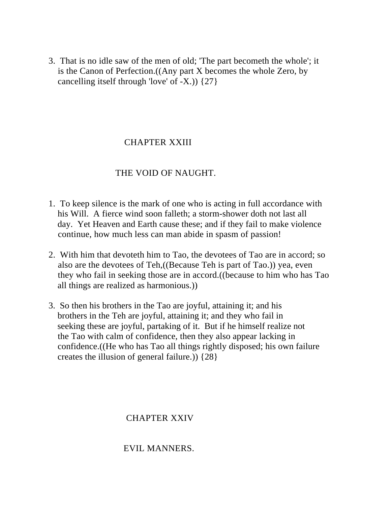3. That is no idle saw of the men of old; 'The part becometh the whole'; it is the Canon of Perfection.((Any part X becomes the whole Zero, by cancelling itself through 'love' of  $-X$ .))  $\{27\}$ 

## CHAPTER XXIII

### THE VOID OF NAUGHT.

- 1. To keep silence is the mark of one who is acting in full accordance with his Will. A fierce wind soon falleth; a storm-shower doth not last all day. Yet Heaven and Earth cause these; and if they fail to make violence continue, how much less can man abide in spasm of passion!
- 2. With him that devoteth him to Tao, the devotees of Tao are in accord; so also are the devotees of Teh,((Because Teh is part of Tao.)) yea, even they who fail in seeking those are in accord.((because to him who has Tao all things are realized as harmonious.))
- 3. So then his brothers in the Tao are joyful, attaining it; and his brothers in the Teh are joyful, attaining it; and they who fail in seeking these are joyful, partaking of it. But if he himself realize not the Tao with calm of confidence, then they also appear lacking in confidence.((He who has Tao all things rightly disposed; his own failure creates the illusion of general failure.)) {28}

### CHAPTER XXIV

### EVIL MANNERS.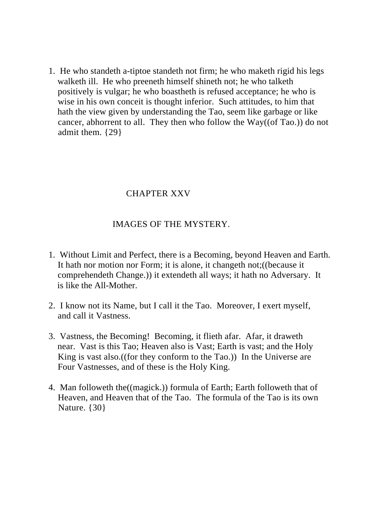1. He who standeth a-tiptoe standeth not firm; he who maketh rigid his legs walketh ill. He who preeneth himself shineth not; he who talketh positively is vulgar; he who boastheth is refused acceptance; he who is wise in his own conceit is thought inferior. Such attitudes, to him that hath the view given by understanding the Tao, seem like garbage or like cancer, abhorrent to all. They then who follow the Way((of Tao.)) do not admit them. {29}

#### CHAPTER XXV

#### IMAGES OF THE MYSTERY.

- 1. Without Limit and Perfect, there is a Becoming, beyond Heaven and Earth. It hath nor motion nor Form; it is alone, it changeth not;((because it comprehendeth Change.)) it extendeth all ways; it hath no Adversary. It is like the All-Mother.
- 2. I know not its Name, but I call it the Tao. Moreover, I exert myself, and call it Vastness.
- 3. Vastness, the Becoming! Becoming, it flieth afar. Afar, it draweth near. Vast is this Tao; Heaven also is Vast; Earth is vast; and the Holy King is vast also.((for they conform to the Tao.)) In the Universe are Four Vastnesses, and of these is the Holy King.
- 4. Man followeth the((magick.)) formula of Earth; Earth followeth that of Heaven, and Heaven that of the Tao. The formula of the Tao is its own Nature. {30}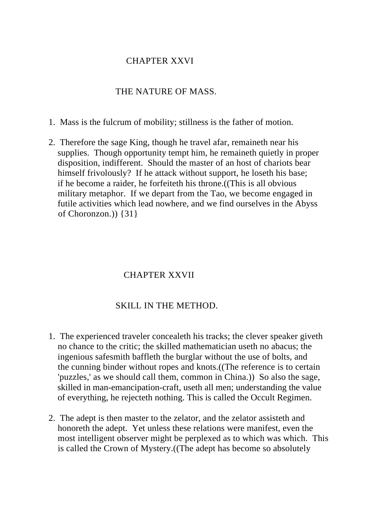#### CHAPTER XXVI

#### THE NATURE OF MASS.

- 1. Mass is the fulcrum of mobility; stillness is the father of motion.
- 2. Therefore the sage King, though he travel afar, remaineth near his supplies. Though opportunity tempt him, he remaineth quietly in proper disposition, indifferent. Should the master of an host of chariots bear himself frivolously? If he attack without support, he loseth his base; if he become a raider, he forfeiteth his throne.((This is all obvious military metaphor. If we depart from the Tao, we become engaged in futile activities which lead nowhere, and we find ourselves in the Abyss of Choronzon.)) {31}

#### CHAPTER XXVII

#### SKILL IN THE METHOD.

- 1. The experienced traveler concealeth his tracks; the clever speaker giveth no chance to the critic; the skilled mathematician useth no abacus; the ingenious safesmith baffleth the burglar without the use of bolts, and the cunning binder without ropes and knots.((The reference is to certain 'puzzles,' as we should call them, common in China.)) So also the sage, skilled in man-emancipation-craft, useth all men; understanding the value of everything, he rejecteth nothing. This is called the Occult Regimen.
- 2. The adept is then master to the zelator, and the zelator assisteth and honoreth the adept. Yet unless these relations were manifest, even the most intelligent observer might be perplexed as to which was which. This is called the Crown of Mystery.((The adept has become so absolutely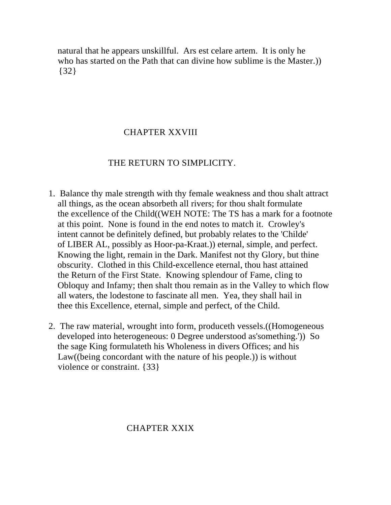natural that he appears unskillful. Ars est celare artem. It is only he who has started on the Path that can divine how sublime is the Master.)) {32}

## CHAPTER XXVIII

### THE RETURN TO SIMPLICITY.

- 1. Balance thy male strength with thy female weakness and thou shalt attract all things, as the ocean absorbeth all rivers; for thou shalt formulate the excellence of the Child((WEH NOTE: The TS has a mark for a footnote at this point. None is found in the end notes to match it. Crowley's intent cannot be definitely defined, but probably relates to the 'Childe' of LIBER AL, possibly as Hoor-pa-Kraat.)) eternal, simple, and perfect. Knowing the light, remain in the Dark. Manifest not thy Glory, but thine obscurity. Clothed in this Child-excellence eternal, thou hast attained the Return of the First State. Knowing splendour of Fame, cling to Obloquy and Infamy; then shalt thou remain as in the Valley to which flow all waters, the lodestone to fascinate all men. Yea, they shall hail in thee this Excellence, eternal, simple and perfect, of the Child.
- 2. The raw material, wrought into form, produceth vessels.((Homogeneous developed into heterogeneous: 0 Degree understood as'something.')) So the sage King formulateth his Wholeness in divers Offices; and his Law((being concordant with the nature of his people.)) is without violence or constraint. {33}

#### CHAPTER XXIX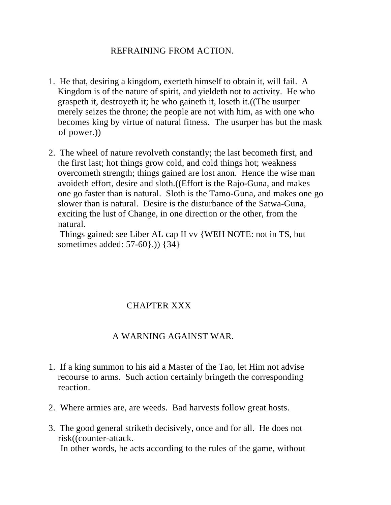#### REFRAINING FROM ACTION.

- 1. He that, desiring a kingdom, exerteth himself to obtain it, will fail. A Kingdom is of the nature of spirit, and yieldeth not to activity. He who graspeth it, destroyeth it; he who gaineth it, loseth it.((The usurper merely seizes the throne; the people are not with him, as with one who becomes king by virtue of natural fitness. The usurper has but the mask of power.))
- 2. The wheel of nature revolveth constantly; the last becometh first, and the first last; hot things grow cold, and cold things hot; weakness overcometh strength; things gained are lost anon. Hence the wise man avoideth effort, desire and sloth.((Effort is the Rajo-Guna, and makes one go faster than is natural. Sloth is the Tamo-Guna, and makes one go slower than is natural. Desire is the disturbance of the Satwa-Guna, exciting the lust of Change, in one direction or the other, from the natural.

 Things gained: see Liber AL cap II vv {WEH NOTE: not in TS, but sometimes added: 57-60}.)) {34}

### CHAPTER XXX

#### A WARNING AGAINST WAR.

- 1. If a king summon to his aid a Master of the Tao, let Him not advise recourse to arms. Such action certainly bringeth the corresponding reaction.
- 2. Where armies are, are weeds. Bad harvests follow great hosts.
- 3. The good general striketh decisively, once and for all. He does not risk((counter-attack. In other words, he acts according to the rules of the game, without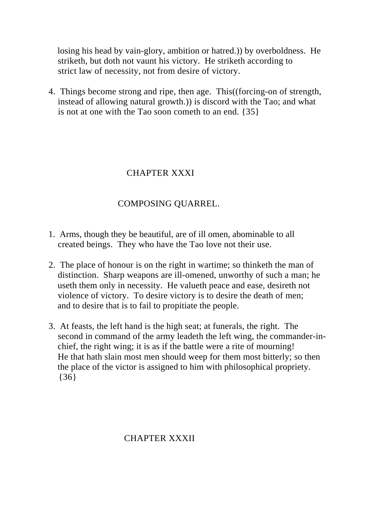losing his head by vain-glory, ambition or hatred.)) by overboldness. He striketh, but doth not vaunt his victory. He striketh according to strict law of necessity, not from desire of victory.

 4. Things become strong and ripe, then age. This((forcing-on of strength, instead of allowing natural growth.)) is discord with the Tao; and what is not at one with the Tao soon cometh to an end. {35}

## CHAPTER XXXI

## COMPOSING QUARREL.

- 1. Arms, though they be beautiful, are of ill omen, abominable to all created beings. They who have the Tao love not their use.
- 2. The place of honour is on the right in wartime; so thinketh the man of distinction. Sharp weapons are ill-omened, unworthy of such a man; he useth them only in necessity. He valueth peace and ease, desireth not violence of victory. To desire victory is to desire the death of men; and to desire that is to fail to propitiate the people.
- 3. At feasts, the left hand is the high seat; at funerals, the right. The second in command of the army leadeth the left wing, the commander-in chief, the right wing; it is as if the battle were a rite of mourning! He that hath slain most men should weep for them most bitterly; so then the place of the victor is assigned to him with philosophical propriety. {36}

### CHAPTER XXXII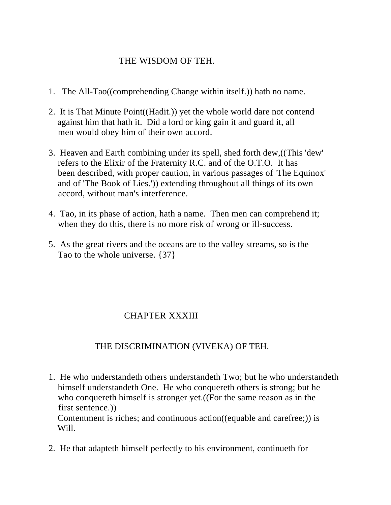### THE WISDOM OF TEH.

- 1. The All-Tao((comprehending Change within itself.)) hath no name.
- 2. It is That Minute Point((Hadit.)) yet the whole world dare not contend against him that hath it. Did a lord or king gain it and guard it, all men would obey him of their own accord.
- 3. Heaven and Earth combining under its spell, shed forth dew,((This 'dew' refers to the Elixir of the Fraternity R.C. and of the O.T.O. It has been described, with proper caution, in various passages of 'The Equinox' and of 'The Book of Lies.')) extending throughout all things of its own accord, without man's interference.
- 4. Tao, in its phase of action, hath a name. Then men can comprehend it; when they do this, there is no more risk of wrong or ill-success.
- 5. As the great rivers and the oceans are to the valley streams, so is the Tao to the whole universe. {37}

## CHAPTER XXXIII

## THE DISCRIMINATION (VIVEKA) OF TEH.

- 1. He who understandeth others understandeth Two; but he who understandeth himself understandeth One. He who conquereth others is strong; but he who conquereth himself is stronger yet.((For the same reason as in the first sentence.)) Contentment is riches; and continuous action((equable and carefree;)) is Will.
- 2. He that adapteth himself perfectly to his environment, continueth for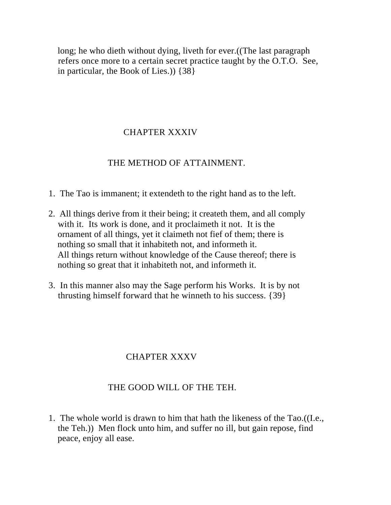long; he who dieth without dying, liveth for ever.((The last paragraph refers once more to a certain secret practice taught by the O.T.O. See, in particular, the Book of Lies.)) {38}

## CHAPTER XXXIV

### THE METHOD OF ATTAINMENT.

- 1. The Tao is immanent; it extendeth to the right hand as to the left.
- 2. All things derive from it their being; it createth them, and all comply with it. Its work is done, and it proclaimeth it not. It is the ornament of all things, yet it claimeth not fief of them; there is nothing so small that it inhabiteth not, and informeth it. All things return without knowledge of the Cause thereof; there is nothing so great that it inhabiteth not, and informeth it.
- 3. In this manner also may the Sage perform his Works. It is by not thrusting himself forward that he winneth to his success. {39}

## CHAPTER XXXV

### THE GOOD WILL OF THE TEH.

 1. The whole world is drawn to him that hath the likeness of the Tao.((I.e., the Teh.)) Men flock unto him, and suffer no ill, but gain repose, find peace, enjoy all ease.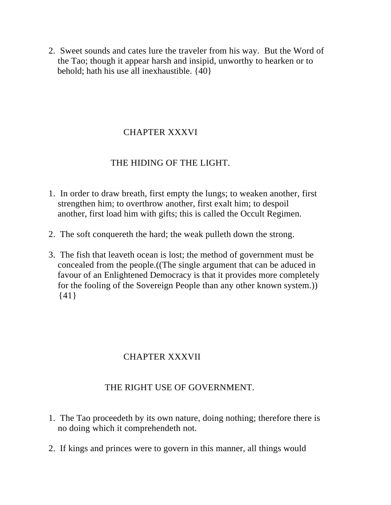2. Sweet sounds and cates lure the traveler from his way. But the Word of the Tao; though it appear harsh and insipid, unworthy to hearken or to behold; hath his use all inexhaustible. {40}

## CHAPTER XXXVI

## THE HIDING OF THE LIGHT.

- 1. In order to draw breath, first empty the lungs; to weaken another, first strengthen him; to overthrow another, first exalt him; to despoil another, first load him with gifts; this is called the Occult Regimen.
- 2. The soft conquereth the hard; the weak pulleth down the strong.
- 3. The fish that leaveth ocean is lost; the method of government must be concealed from the people.((The single argument that can be aduced in favour of an Enlightened Democracy is that it provides more completely for the fooling of the Sovereign People than any other known system.)) {41}

## CHAPTER XXXVII

## THE RIGHT USE OF GOVERNMENT.

- 1. The Tao proceedeth by its own nature, doing nothing; therefore there is no doing which it comprehendeth not.
- 2. If kings and princes were to govern in this manner, all things would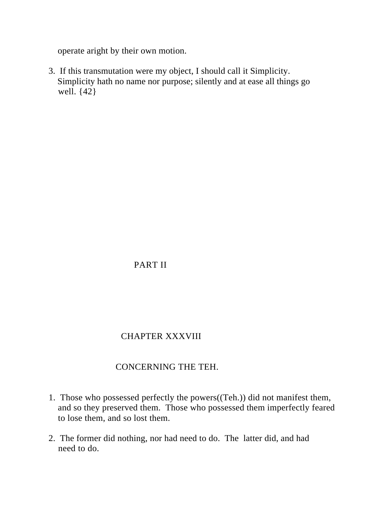operate aright by their own motion.

 3. If this transmutation were my object, I should call it Simplicity. Simplicity hath no name nor purpose; silently and at ease all things go well. {42}

#### PART II

#### CHAPTER XXXVIII

#### CONCERNING THE TEH.

- 1. Those who possessed perfectly the powers((Teh.)) did not manifest them, and so they preserved them. Those who possessed them imperfectly feared to lose them, and so lost them.
- 2. The former did nothing, nor had need to do. The latter did, and had need to do.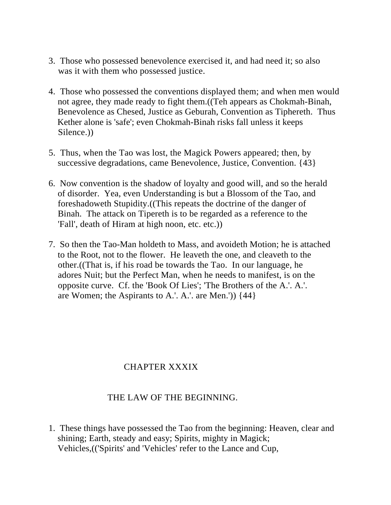- 3. Those who possessed benevolence exercised it, and had need it; so also was it with them who possessed justice.
- 4. Those who possessed the conventions displayed them; and when men would not agree, they made ready to fight them.((Teh appears as Chokmah-Binah, Benevolence as Chesed, Justice as Geburah, Convention as Tiphereth. Thus Kether alone is 'safe'; even Chokmah-Binah risks fall unless it keeps Silence.))
- 5. Thus, when the Tao was lost, the Magick Powers appeared; then, by successive degradations, came Benevolence, Justice, Convention. {43}
- 6. Now convention is the shadow of loyalty and good will, and so the herald of disorder. Yea, even Understanding is but a Blossom of the Tao, and foreshadoweth Stupidity.((This repeats the doctrine of the danger of Binah. The attack on Tipereth is to be regarded as a reference to the 'Fall', death of Hiram at high noon, etc. etc.))
- 7. So then the Tao-Man holdeth to Mass, and avoideth Motion; he is attached to the Root, not to the flower. He leaveth the one, and cleaveth to the other.((That is, if his road be towards the Tao. In our language, he adores Nuit; but the Perfect Man, when he needs to manifest, is on the opposite curve. Cf. the 'Book Of Lies'; 'The Brothers of the A.'. A.'. are Women; the Aspirants to A.'. A.'. are Men.')) {44}

### CHAPTER XXXIX

### THE LAW OF THE BEGINNING.

 1. These things have possessed the Tao from the beginning: Heaven, clear and shining; Earth, steady and easy; Spirits, mighty in Magick; Vehicles,(('Spirits' and 'Vehicles' refer to the Lance and Cup,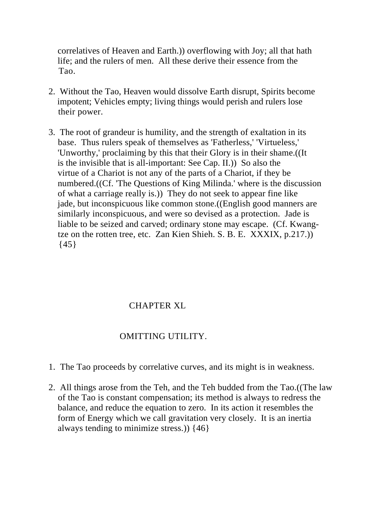correlatives of Heaven and Earth.)) overflowing with Joy; all that hath life; and the rulers of men. All these derive their essence from the Tao.

- 2. Without the Tao, Heaven would dissolve Earth disrupt, Spirits become impotent; Vehicles empty; living things would perish and rulers lose their power.
- 3. The root of grandeur is humility, and the strength of exaltation in its base. Thus rulers speak of themselves as 'Fatherless,' 'Virtueless,' 'Unworthy,' proclaiming by this that their Glory is in their shame.((It is the invisible that is all-important: See Cap. II.)) So also the virtue of a Chariot is not any of the parts of a Chariot, if they be numbered.((Cf. 'The Questions of King Milinda.' where is the discussion of what a carriage really is.)) They do not seek to appear fine like jade, but inconspicuous like common stone.((English good manners are similarly inconspicuous, and were so devised as a protection. Jade is liable to be seized and carved; ordinary stone may escape. (Cf. Kwang tze on the rotten tree, etc. Zan Kien Shieh. S. B. E. XXXIX, p.217.))  $\{45\}$

## CHAPTER XL

### OMITTING UTILITY.

- 1. The Tao proceeds by correlative curves, and its might is in weakness.
- 2. All things arose from the Teh, and the Teh budded from the Tao.((The law of the Tao is constant compensation; its method is always to redress the balance, and reduce the equation to zero. In its action it resembles the form of Energy which we call gravitation very closely. It is an inertia always tending to minimize stress.)) {46}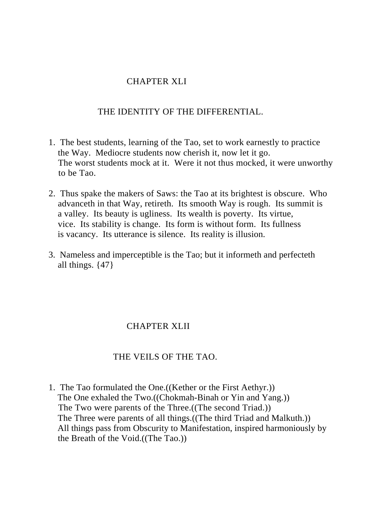#### CHAPTER XLI

#### THE IDENTITY OF THE DIFFERENTIAL.

- 1. The best students, learning of the Tao, set to work earnestly to practice the Way. Mediocre students now cherish it, now let it go. The worst students mock at it. Were it not thus mocked, it were unworthy to be Tao.
- 2. Thus spake the makers of Saws: the Tao at its brightest is obscure. Who advanceth in that Way, retireth. Its smooth Way is rough. Its summit is a valley. Its beauty is ugliness. Its wealth is poverty. Its virtue, vice. Its stability is change. Its form is without form. Its fullness is vacancy. Its utterance is silence. Its reality is illusion.
- 3. Nameless and imperceptible is the Tao; but it informeth and perfecteth all things.  $\{47\}$

#### CHAPTER XLII

#### THE VEILS OF THE TAO.

 1. The Tao formulated the One.((Kether or the First Aethyr.)) The One exhaled the Two.((Chokmah-Binah or Yin and Yang.)) The Two were parents of the Three.((The second Triad.)) The Three were parents of all things.((The third Triad and Malkuth.)) All things pass from Obscurity to Manifestation, inspired harmoniously by the Breath of the Void.((The Tao.))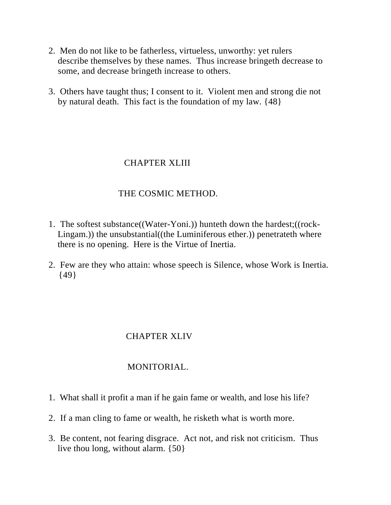- 2. Men do not like to be fatherless, virtueless, unworthy: yet rulers describe themselves by these names. Thus increase bringeth decrease to some, and decrease bringeth increase to others.
- 3. Others have taught thus; I consent to it. Violent men and strong die not by natural death. This fact is the foundation of my law. {48}

## CHAPTER XLIII

### THE COSMIC METHOD.

- 1. The softest substance((Water-Yoni.)) hunteth down the hardest;((rock- Lingam.)) the unsubstantial((the Luminiferous ether.)) penetrateth where there is no opening. Here is the Virtue of Inertia.
- 2. Few are they who attain: whose speech is Silence, whose Work is Inertia. {49}

### CHAPTER XLIV

### MONITORIAL.

- 1. What shall it profit a man if he gain fame or wealth, and lose his life?
- 2. If a man cling to fame or wealth, he risketh what is worth more.
- 3. Be content, not fearing disgrace. Act not, and risk not criticism. Thus live thou long, without alarm. {50}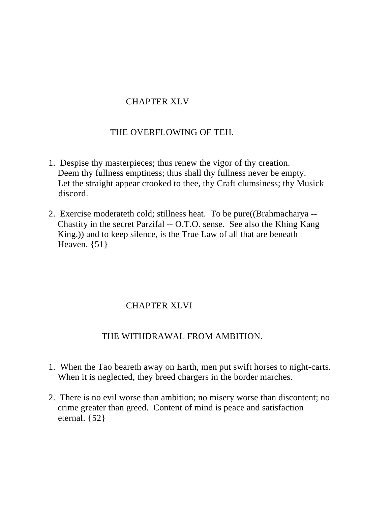#### CHAPTER XLV

#### THE OVERFLOWING OF TEH.

- 1. Despise thy masterpieces; thus renew the vigor of thy creation. Deem thy fullness emptiness; thus shall thy fullness never be empty. Let the straight appear crooked to thee, thy Craft clumsiness; thy Musick discord.
- 2. Exercise moderateth cold; stillness heat. To be pure((Brahmacharya -- Chastity in the secret Parzifal -- O.T.O. sense. See also the Khing Kang King.)) and to keep silence, is the True Law of all that are beneath Heaven. {51}

### CHAPTER XLVI

#### THE WITHDRAWAL FROM AMBITION.

- 1. When the Tao beareth away on Earth, men put swift horses to night-carts. When it is neglected, they breed chargers in the border marches.
- 2. There is no evil worse than ambition; no misery worse than discontent; no crime greater than greed. Content of mind is peace and satisfaction eternal. {52}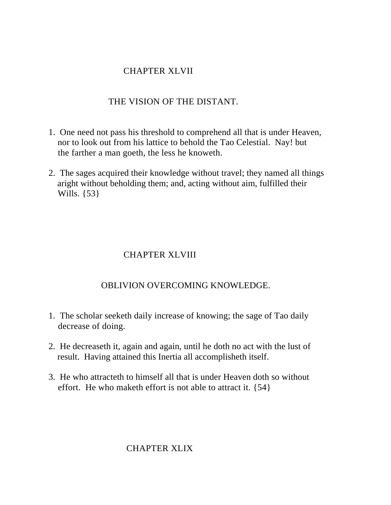## CHAPTER XLVII

### THE VISION OF THE DISTANT.

- 1. One need not pass his threshold to comprehend all that is under Heaven, nor to look out from his lattice to behold the Tao Celestial. Nay! but the farther a man goeth, the less he knoweth.
- 2. The sages acquired their knowledge without travel; they named all things aright without beholding them; and, acting without aim, fulfilled their Wills. {53}

### CHAPTER XLVIII

## OBLIVION OVERCOMING KNOWLEDGE.

- 1. The scholar seeketh daily increase of knowing; the sage of Tao daily decrease of doing.
- 2. He decreaseth it, again and again, until he doth no act with the lust of result. Having attained this Inertia all accomplisheth itself.
- 3. He who attracteth to himself all that is under Heaven doth so without effort. He who maketh effort is not able to attract it. {54}

### CHAPTER XLIX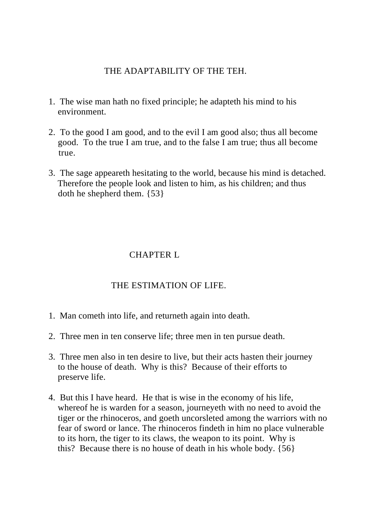#### THE ADAPTABILITY OF THE TEH.

- 1. The wise man hath no fixed principle; he adapteth his mind to his environment.
- 2. To the good I am good, and to the evil I am good also; thus all become good. To the true I am true, and to the false I am true; thus all become true.
- 3. The sage appeareth hesitating to the world, because his mind is detached. Therefore the people look and listen to him, as his children; and thus doth he shepherd them. {53}

### CHAPTER L

### THE ESTIMATION OF LIFE.

- 1. Man cometh into life, and returneth again into death.
- 2. Three men in ten conserve life; three men in ten pursue death.
- 3. Three men also in ten desire to live, but their acts hasten their journey to the house of death. Why is this? Because of their efforts to preserve life.
- 4. But this I have heard. He that is wise in the economy of his life, whereof he is warden for a season, journeyeth with no need to avoid the tiger or the rhinoceros, and goeth uncorsleted among the warriors with no fear of sword or lance. The rhinoceros findeth in him no place vulnerable to its horn, the tiger to its claws, the weapon to its point. Why is this? Because there is no house of death in his whole body. {56}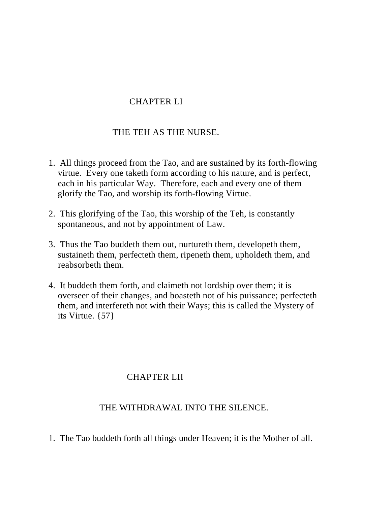## CHAPTER LI

### THE TEH AS THE NURSE.

- 1. All things proceed from the Tao, and are sustained by its forth-flowing virtue. Every one taketh form according to his nature, and is perfect, each in his particular Way. Therefore, each and every one of them glorify the Tao, and worship its forth-flowing Virtue.
- 2. This glorifying of the Tao, this worship of the Teh, is constantly spontaneous, and not by appointment of Law.
- 3. Thus the Tao buddeth them out, nurtureth them, developeth them, sustaineth them, perfecteth them, ripeneth them, upholdeth them, and reabsorbeth them.
- 4. It buddeth them forth, and claimeth not lordship over them; it is overseer of their changes, and boasteth not of his puissance; perfecteth them, and interfereth not with their Ways; this is called the Mystery of its Virtue. {57}

#### CHAPTER LII

#### THE WITHDRAWAL INTO THE SILENCE.

1. The Tao buddeth forth all things under Heaven; it is the Mother of all.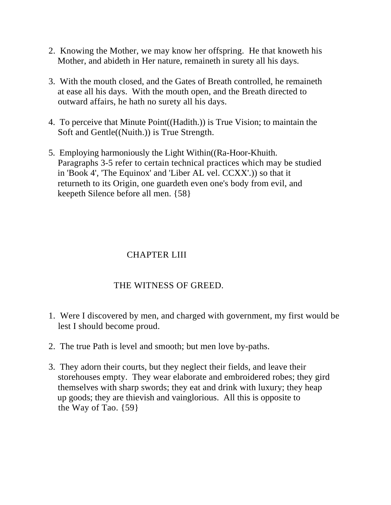- 2. Knowing the Mother, we may know her offspring. He that knoweth his Mother, and abideth in Her nature, remaineth in surety all his days.
- 3. With the mouth closed, and the Gates of Breath controlled, he remaineth at ease all his days. With the mouth open, and the Breath directed to outward affairs, he hath no surety all his days.
- 4. To perceive that Minute Point((Hadith.)) is True Vision; to maintain the Soft and Gentle((Nuith.)) is True Strength.
- 5. Employing harmoniously the Light Within((Ra-Hoor-Khuith. Paragraphs 3-5 refer to certain technical practices which may be studied in 'Book 4', 'The Equinox' and 'Liber AL vel. CCXX'.)) so that it returneth to its Origin, one guardeth even one's body from evil, and keepeth Silence before all men. {58}

## CHAPTER LIII

## THE WITNESS OF GREED.

- 1. Were I discovered by men, and charged with government, my first would be lest I should become proud.
- 2. The true Path is level and smooth; but men love by-paths.
- 3. They adorn their courts, but they neglect their fields, and leave their storehouses empty. They wear elaborate and embroidered robes; they gird themselves with sharp swords; they eat and drink with luxury; they heap up goods; they are thievish and vainglorious. All this is opposite to the Way of Tao.  $\{59\}$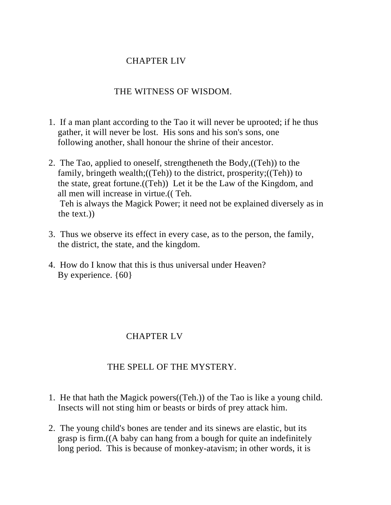### CHAPTER LIV

#### THE WITNESS OF WISDOM.

- 1. If a man plant according to the Tao it will never be uprooted; if he thus gather, it will never be lost. His sons and his son's sons, one following another, shall honour the shrine of their ancestor.
- 2. The Tao, applied to oneself, strengtheneth the Body,((Teh)) to the family, bringeth wealth;((Teh)) to the district, prosperity;((Teh)) to the state, great fortune.((Teh)) Let it be the Law of the Kingdom, and all men will increase in virtue.(( Teh. Teh is always the Magick Power; it need not be explained diversely as in the text.))
- 3. Thus we observe its effect in every case, as to the person, the family, the district, the state, and the kingdom.
- 4. How do I know that this is thus universal under Heaven? By experience.  $\{60\}$

### CHAPTER LV

#### THE SPELL OF THE MYSTERY.

- 1. He that hath the Magick powers((Teh.)) of the Tao is like a young child. Insects will not sting him or beasts or birds of prey attack him.
- 2. The young child's bones are tender and its sinews are elastic, but its grasp is firm.((A baby can hang from a bough for quite an indefinitely long period. This is because of monkey-atavism; in other words, it is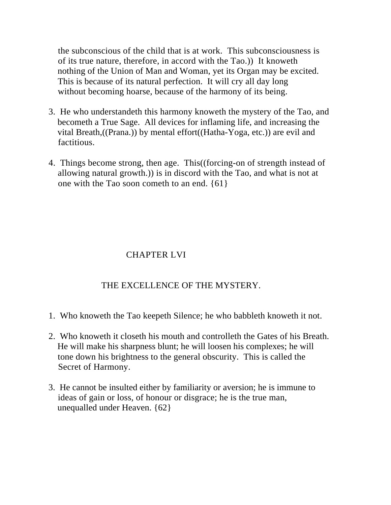the subconscious of the child that is at work. This subconsciousness is of its true nature, therefore, in accord with the Tao.)) It knoweth nothing of the Union of Man and Woman, yet its Organ may be excited. This is because of its natural perfection. It will cry all day long without becoming hoarse, because of the harmony of its being.

- 3. He who understandeth this harmony knoweth the mystery of the Tao, and becometh a True Sage. All devices for inflaming life, and increasing the vital Breath,((Prana.)) by mental effort((Hatha-Yoga, etc.)) are evil and factitious.
- 4. Things become strong, then age. This((forcing-on of strength instead of allowing natural growth.)) is in discord with the Tao, and what is not at one with the Tao soon cometh to an end. {61}

## CHAPTER LVI

## THE EXCELLENCE OF THE MYSTERY.

- 1. Who knoweth the Tao keepeth Silence; he who babbleth knoweth it not.
- 2. Who knoweth it closeth his mouth and controlleth the Gates of his Breath. He will make his sharpness blunt; he will loosen his complexes; he will tone down his brightness to the general obscurity. This is called the Secret of Harmony.
- 3. He cannot be insulted either by familiarity or aversion; he is immune to ideas of gain or loss, of honour or disgrace; he is the true man, unequalled under Heaven. {62}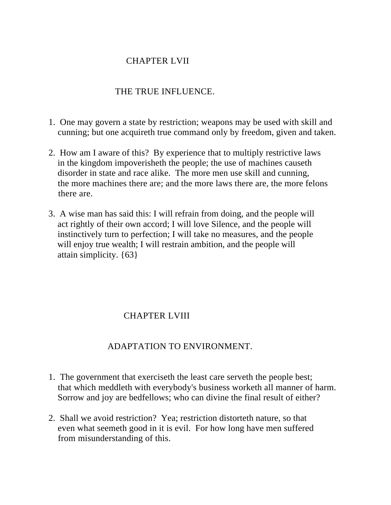## CHAPTER LVII

#### THE TRUE INFLUENCE.

- 1. One may govern a state by restriction; weapons may be used with skill and cunning; but one acquireth true command only by freedom, given and taken.
- 2. How am I aware of this? By experience that to multiply restrictive laws in the kingdom impoverisheth the people; the use of machines causeth disorder in state and race alike. The more men use skill and cunning, the more machines there are; and the more laws there are, the more felons there are.
- 3. A wise man has said this: I will refrain from doing, and the people will act rightly of their own accord; I will love Silence, and the people will instinctively turn to perfection; I will take no measures, and the people will enjoy true wealth; I will restrain ambition, and the people will attain simplicity. {63}

### CHAPTER LVIII

#### ADAPTATION TO ENVIRONMENT.

- 1. The government that exerciseth the least care serveth the people best; that which meddleth with everybody's business worketh all manner of harm. Sorrow and joy are bedfellows; who can divine the final result of either?
- 2. Shall we avoid restriction? Yea; restriction distorteth nature, so that even what seemeth good in it is evil. For how long have men suffered from misunderstanding of this.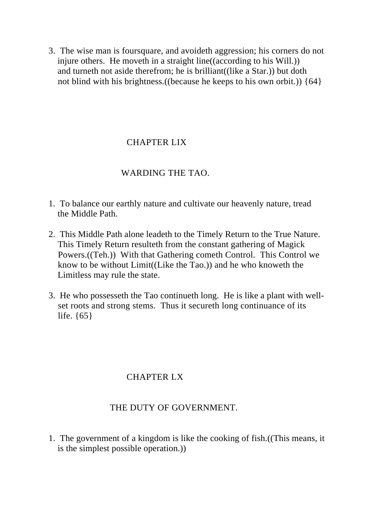3. The wise man is foursquare, and avoideth aggression; his corners do not injure others. He moveth in a straight line((according to his Will.)) and turneth not aside therefrom; he is brilliant((like a Star.)) but doth not blind with his brightness.((because he keeps to his own orbit.)) {64}

## CHAPTER LIX

## WARDING THE TAO.

- 1. To balance our earthly nature and cultivate our heavenly nature, tread the Middle Path.
- 2. This Middle Path alone leadeth to the Timely Return to the True Nature. This Timely Return resulteth from the constant gathering of Magick Powers.((Teh.)) With that Gathering cometh Control. This Control we know to be without Limit((Like the Tao.)) and he who knoweth the Limitless may rule the state.
- 3. He who possesseth the Tao continueth long. He is like a plant with well set roots and strong stems. Thus it secureth long continuance of its life. {65}

## CHAPTER LX

### THE DUTY OF GOVERNMENT.

 1. The government of a kingdom is like the cooking of fish.((This means, it is the simplest possible operation.))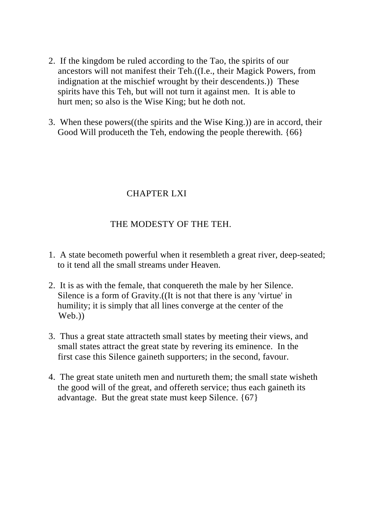- 2. If the kingdom be ruled according to the Tao, the spirits of our ancestors will not manifest their Teh.((I.e., their Magick Powers, from indignation at the mischief wrought by their descendents.)) These spirits have this Teh, but will not turn it against men. It is able to hurt men; so also is the Wise King; but he doth not.
- 3. When these powers((the spirits and the Wise King.)) are in accord, their Good Will produceth the Teh, endowing the people therewith. {66}

## CHAPTER LXI

## THE MODESTY OF THE TEH.

- 1. A state becometh powerful when it resembleth a great river, deep-seated; to it tend all the small streams under Heaven.
- 2. It is as with the female, that conquereth the male by her Silence. Silence is a form of Gravity.((It is not that there is any 'virtue' in humility; it is simply that all lines converge at the center of the Web.))
- 3. Thus a great state attracteth small states by meeting their views, and small states attract the great state by revering its eminence. In the first case this Silence gaineth supporters; in the second, favour.
- 4. The great state uniteth men and nurtureth them; the small state wisheth the good will of the great, and offereth service; thus each gaineth its advantage. But the great state must keep Silence. {67}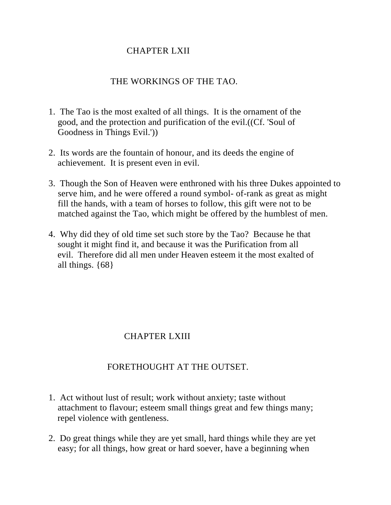### CHAPTER LXII

### THE WORKINGS OF THE TAO.

- 1. The Tao is the most exalted of all things. It is the ornament of the good, and the protection and purification of the evil.((Cf. 'Soul of Goodness in Things Evil.'))
- 2. Its words are the fountain of honour, and its deeds the engine of achievement. It is present even in evil.
- 3. Though the Son of Heaven were enthroned with his three Dukes appointed to serve him, and he were offered a round symbol- of-rank as great as might fill the hands, with a team of horses to follow, this gift were not to be matched against the Tao, which might be offered by the humblest of men.
- 4. Why did they of old time set such store by the Tao? Because he that sought it might find it, and because it was the Purification from all evil. Therefore did all men under Heaven esteem it the most exalted of all things. {68}

## CHAPTER LXIII

### FORETHOUGHT AT THE OUTSET.

- 1. Act without lust of result; work without anxiety; taste without attachment to flavour; esteem small things great and few things many; repel violence with gentleness.
- 2. Do great things while they are yet small, hard things while they are yet easy; for all things, how great or hard soever, have a beginning when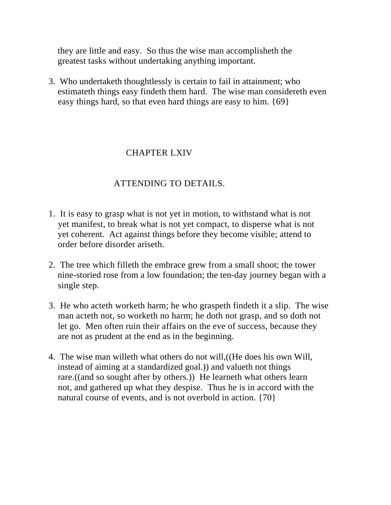they are little and easy. So thus the wise man accomplisheth the greatest tasks without undertaking anything important.

 3. Who undertaketh thoughtlessly is certain to fail in attainment; who estimateth things easy findeth them hard. The wise man considereth even easy things hard, so that even hard things are easy to him. {69}

## CHAPTER LXIV

## ATTENDING TO DETAILS.

- 1. It is easy to grasp what is not yet in motion, to withstand what is not yet manifest, to break what is not yet compact, to disperse what is not yet coherent. Act against things before they become visible; attend to order before disorder ariseth.
- 2. The tree which filleth the embrace grew from a small shoot; the tower nine-storied rose from a low foundation; the ten-day journey began with a single step.
- 3. He who acteth worketh harm; he who graspeth findeth it a slip. The wise man acteth not, so worketh no harm; he doth not grasp, and so doth not let go. Men often ruin their affairs on the eve of success, because they are not as prudent at the end as in the beginning.
- 4. The wise man willeth what others do not will,((He does his own Will, instead of aiming at a standardized goal.)) and valueth not things rare.((and so sought after by others.)) He learneth what others learn not, and gathered up what they despise. Thus he is in accord with the natural course of events, and is not overbold in action. {70}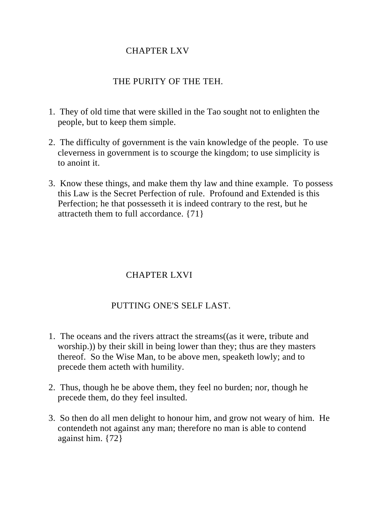#### CHAPTER LXV

#### THE PURITY OF THE TEH.

- 1. They of old time that were skilled in the Tao sought not to enlighten the people, but to keep them simple.
- 2. The difficulty of government is the vain knowledge of the people. To use cleverness in government is to scourge the kingdom; to use simplicity is to anoint it.
- 3. Know these things, and make them thy law and thine example. To possess this Law is the Secret Perfection of rule. Profound and Extended is this Perfection; he that possesseth it is indeed contrary to the rest, but he attracteth them to full accordance. {71}

### CHAPTER LXVI

### PUTTING ONE'S SELF LAST.

- 1. The oceans and the rivers attract the streams((as it were, tribute and worship.)) by their skill in being lower than they; thus are they masters thereof. So the Wise Man, to be above men, speaketh lowly; and to precede them acteth with humility.
- 2. Thus, though he be above them, they feel no burden; nor, though he precede them, do they feel insulted.
- 3. So then do all men delight to honour him, and grow not weary of him. He contendeth not against any man; therefore no man is able to contend against him. {72}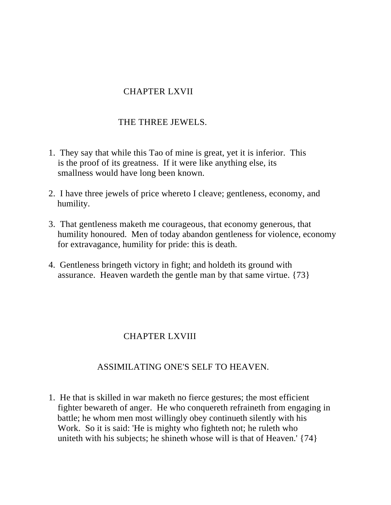### CHAPTER LXVII

#### THE THREE JEWELS.

- 1. They say that while this Tao of mine is great, yet it is inferior. This is the proof of its greatness. If it were like anything else, its smallness would have long been known.
- 2. I have three jewels of price whereto I cleave; gentleness, economy, and humility.
- 3. That gentleness maketh me courageous, that economy generous, that humility honoured. Men of today abandon gentleness for violence, economy for extravagance, humility for pride: this is death.
- 4. Gentleness bringeth victory in fight; and holdeth its ground with assurance. Heaven wardeth the gentle man by that same virtue. {73}

### CHAPTER LXVIII

#### ASSIMILATING ONE'S SELF TO HEAVEN.

 1. He that is skilled in war maketh no fierce gestures; the most efficient fighter bewareth of anger. He who conquereth refraineth from engaging in battle; he whom men most willingly obey continueth silently with his Work. So it is said: 'He is mighty who fighteth not; he ruleth who uniteth with his subjects; he shineth whose will is that of Heaven.' {74}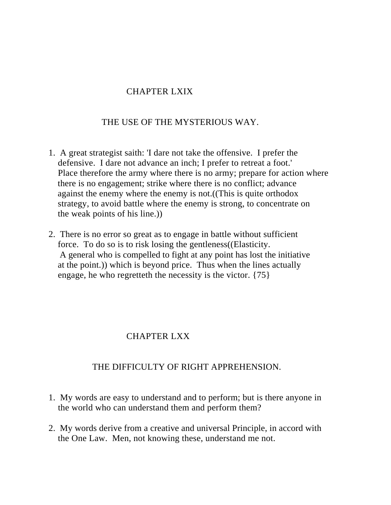#### CHAPTER LXIX

#### THE USE OF THE MYSTERIOUS WAY.

- 1. A great strategist saith: 'I dare not take the offensive. I prefer the defensive. I dare not advance an inch; I prefer to retreat a foot.' Place therefore the army where there is no army; prepare for action where there is no engagement; strike where there is no conflict; advance against the enemy where the enemy is not.((This is quite orthodox strategy, to avoid battle where the enemy is strong, to concentrate on the weak points of his line.))
- 2. There is no error so great as to engage in battle without sufficient force. To do so is to risk losing the gentleness((Elasticity. A general who is compelled to fight at any point has lost the initiative at the point.)) which is beyond price. Thus when the lines actually engage, he who regretteth the necessity is the victor. {75}

#### CHAPTER LXX

#### THE DIFFICULTY OF RIGHT APPREHENSION.

- 1. My words are easy to understand and to perform; but is there anyone in the world who can understand them and perform them?
- 2. My words derive from a creative and universal Principle, in accord with the One Law. Men, not knowing these, understand me not.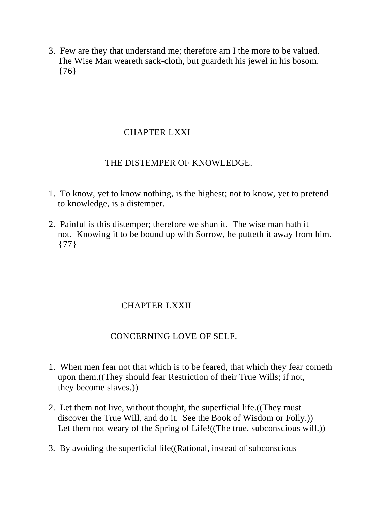3. Few are they that understand me; therefore am I the more to be valued. The Wise Man weareth sack-cloth, but guardeth his jewel in his bosom. {76}

## CHAPTER LXXI

## THE DISTEMPER OF KNOWLEDGE.

- 1. To know, yet to know nothing, is the highest; not to know, yet to pretend to knowledge, is a distemper.
- 2. Painful is this distemper; therefore we shun it. The wise man hath it not. Knowing it to be bound up with Sorrow, he putteth it away from him. {77}

## CHAPTER LXXII

## CONCERNING LOVE OF SELF.

- 1. When men fear not that which is to be feared, that which they fear cometh upon them.((They should fear Restriction of their True Wills; if not, they become slaves.))
- 2. Let them not live, without thought, the superficial life.((They must discover the True Will, and do it. See the Book of Wisdom or Folly.)) Let them not weary of the Spring of Life!((The true, subconscious will.))
- 3. By avoiding the superficial life((Rational, instead of subconscious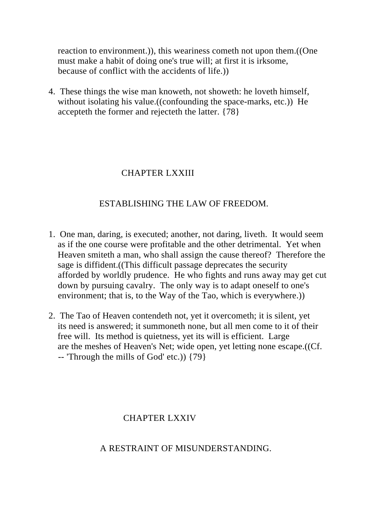reaction to environment.)), this weariness cometh not upon them.((One must make a habit of doing one's true will; at first it is irksome, because of conflict with the accidents of life.))

 4. These things the wise man knoweth, not showeth: he loveth himself, without isolating his value.((confounding the space-marks, etc.)) He accepteth the former and rejecteth the latter. {78}

## CHAPTER LXXIII

#### ESTABLISHING THE LAW OF FREEDOM.

- 1. One man, daring, is executed; another, not daring, liveth. It would seem as if the one course were profitable and the other detrimental. Yet when Heaven smiteth a man, who shall assign the cause thereof? Therefore the sage is diffident.((This difficult passage deprecates the security afforded by worldly prudence. He who fights and runs away may get cut down by pursuing cavalry. The only way is to adapt oneself to one's environment; that is, to the Way of the Tao, which is everywhere.))
- 2. The Tao of Heaven contendeth not, yet it overcometh; it is silent, yet its need is answered; it summoneth none, but all men come to it of their free will. Its method is quietness, yet its will is efficient. Large are the meshes of Heaven's Net; wide open, yet letting none escape.((Cf. -- 'Through the mills of God' etc.)) {79}

## CHAPTER LXXIV

A RESTRAINT OF MISUNDERSTANDING.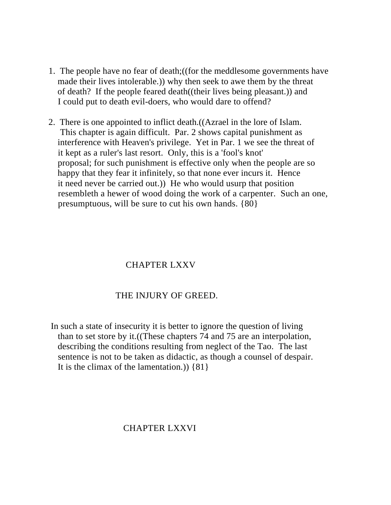- 1. The people have no fear of death;((for the meddlesome governments have made their lives intolerable.)) why then seek to awe them by the threat of death? If the people feared death((their lives being pleasant.)) and I could put to death evil-doers, who would dare to offend?
- 2. There is one appointed to inflict death.((Azrael in the lore of Islam. This chapter is again difficult. Par. 2 shows capital punishment as interference with Heaven's privilege. Yet in Par. 1 we see the threat of it kept as a ruler's last resort. Only, this is a 'fool's knot' proposal; for such punishment is effective only when the people are so happy that they fear it infinitely, so that none ever incurs it. Hence it need never be carried out.)) He who would usurp that position resembleth a hewer of wood doing the work of a carpenter. Such an one, presumptuous, will be sure to cut his own hands. {80}

### CHAPTER LXXV

#### THE INJURY OF GREED.

 In such a state of insecurity it is better to ignore the question of living than to set store by it.((These chapters 74 and 75 are an interpolation, describing the conditions resulting from neglect of the Tao. The last sentence is not to be taken as didactic, as though a counsel of despair. It is the climax of the lamentation.)) {81}

#### CHAPTER LXXVI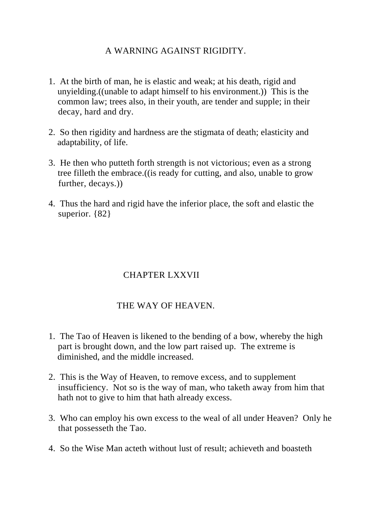### A WARNING AGAINST RIGIDITY.

- 1. At the birth of man, he is elastic and weak; at his death, rigid and unyielding.((unable to adapt himself to his environment.)) This is the common law; trees also, in their youth, are tender and supple; in their decay, hard and dry.
- 2. So then rigidity and hardness are the stigmata of death; elasticity and adaptability, of life.
- 3. He then who putteth forth strength is not victorious; even as a strong tree filleth the embrace.((is ready for cutting, and also, unable to grow further, decays.))
- 4. Thus the hard and rigid have the inferior place, the soft and elastic the superior. {82}

## CHAPTER LXXVII

## THE WAY OF HEAVEN.

- 1. The Tao of Heaven is likened to the bending of a bow, whereby the high part is brought down, and the low part raised up. The extreme is diminished, and the middle increased.
- 2. This is the Way of Heaven, to remove excess, and to supplement insufficiency. Not so is the way of man, who taketh away from him that hath not to give to him that hath already excess.
- 3. Who can employ his own excess to the weal of all under Heaven? Only he that possesseth the Tao.
- 4. So the Wise Man acteth without lust of result; achieveth and boasteth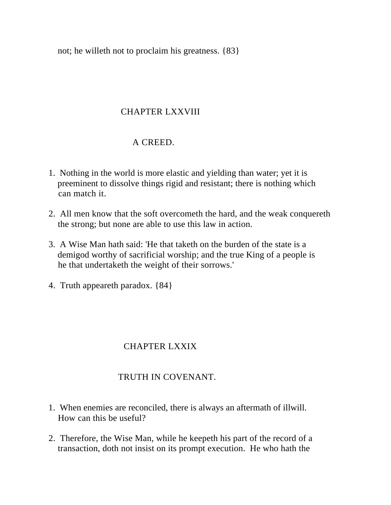not; he willeth not to proclaim his greatness. {83}

### CHAPTER LXXVIII

### A CREED.

- 1. Nothing in the world is more elastic and yielding than water; yet it is preeminent to dissolve things rigid and resistant; there is nothing which can match it.
- 2. All men know that the soft overcometh the hard, and the weak conquereth the strong; but none are able to use this law in action.
- 3. A Wise Man hath said: 'He that taketh on the burden of the state is a demigod worthy of sacrificial worship; and the true King of a people is he that undertaketh the weight of their sorrows.'
- 4. Truth appeareth paradox. {84}

## CHAPTER LXXIX

### TRUTH IN COVENANT.

- 1. When enemies are reconciled, there is always an aftermath of illwill. How can this be useful?
- 2. Therefore, the Wise Man, while he keepeth his part of the record of a transaction, doth not insist on its prompt execution. He who hath the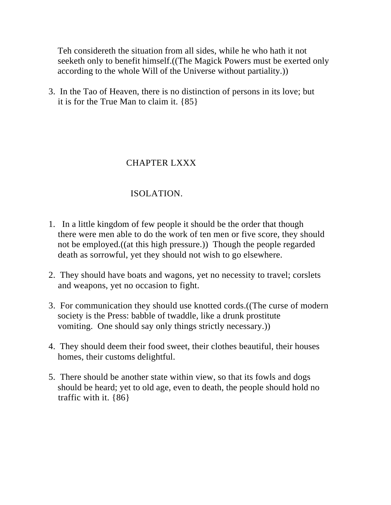Teh considereth the situation from all sides, while he who hath it not seeketh only to benefit himself.((The Magick Powers must be exerted only according to the whole Will of the Universe without partiality.))

 3. In the Tao of Heaven, there is no distinction of persons in its love; but it is for the True Man to claim it. {85}

## CHAPTER LXXX

#### ISOLATION.

- 1. In a little kingdom of few people it should be the order that though there were men able to do the work of ten men or five score, they should not be employed.((at this high pressure.)) Though the people regarded death as sorrowful, yet they should not wish to go elsewhere.
- 2. They should have boats and wagons, yet no necessity to travel; corslets and weapons, yet no occasion to fight.
- 3. For communication they should use knotted cords.((The curse of modern society is the Press: babble of twaddle, like a drunk prostitute vomiting. One should say only things strictly necessary.))
- 4. They should deem their food sweet, their clothes beautiful, their houses homes, their customs delightful.
- 5. There should be another state within view, so that its fowls and dogs should be heard; yet to old age, even to death, the people should hold no traffic with it. {86}